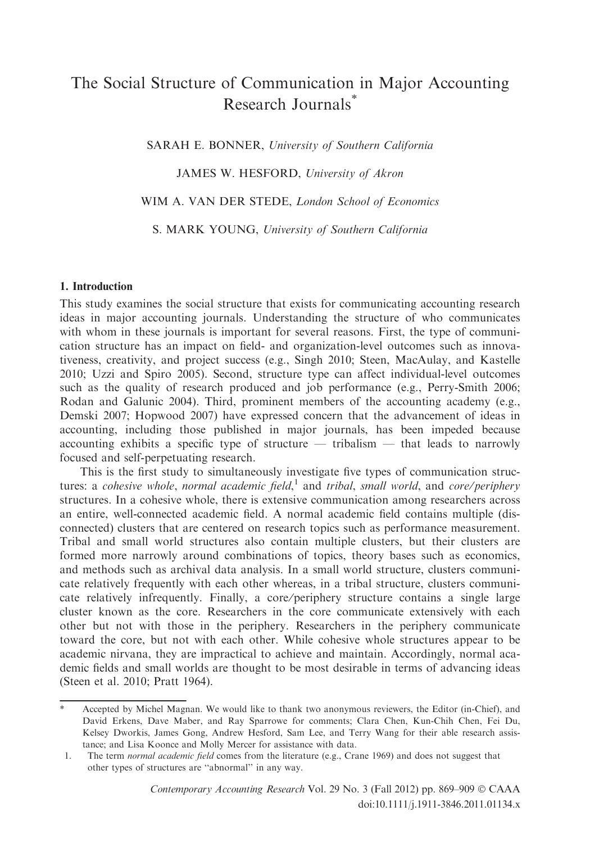# The Social Structure of Communication in Major Accounting Research Journals\*

SARAH E. BONNER, University of Southern California

JAMES W. HESFORD, University of Akron

#### WIM A. VAN DER STEDE, London School of Economics

#### S. MARK YOUNG, University of Southern California

#### 1. Introduction

This study examines the social structure that exists for communicating accounting research ideas in major accounting journals. Understanding the structure of who communicates with whom in these journals is important for several reasons. First, the type of communication structure has an impact on field- and organization-level outcomes such as innovativeness, creativity, and project success (e.g., Singh 2010; Steen, MacAulay, and Kastelle 2010; Uzzi and Spiro 2005). Second, structure type can affect individual-level outcomes such as the quality of research produced and job performance (e.g., Perry-Smith 2006; Rodan and Galunic 2004). Third, prominent members of the accounting academy (e.g., Demski 2007; Hopwood 2007) have expressed concern that the advancement of ideas in accounting, including those published in major journals, has been impeded because accounting exhibits a specific type of structure — tribalism — that leads to narrowly focused and self-perpetuating research.

This is the first study to simultaneously investigate five types of communication structures: a cohesive whole, normal academic field,<sup>1</sup> and tribal, small world, and core/periphery structures. In a cohesive whole, there is extensive communication among researchers across an entire, well-connected academic field. A normal academic field contains multiple (disconnected) clusters that are centered on research topics such as performance measurement. Tribal and small world structures also contain multiple clusters, but their clusters are formed more narrowly around combinations of topics, theory bases such as economics, and methods such as archival data analysis. In a small world structure, clusters communicate relatively frequently with each other whereas, in a tribal structure, clusters communicate relatively infrequently. Finally, a core ⁄ periphery structure contains a single large cluster known as the core. Researchers in the core communicate extensively with each other but not with those in the periphery. Researchers in the periphery communicate toward the core, but not with each other. While cohesive whole structures appear to be academic nirvana, they are impractical to achieve and maintain. Accordingly, normal academic fields and small worlds are thought to be most desirable in terms of advancing ideas (Steen et al. 2010; Pratt 1964).

<sup>\*</sup> Accepted by Michel Magnan. We would like to thank two anonymous reviewers, the Editor (in-Chief), and David Erkens, Dave Maber, and Ray Sparrowe for comments; Clara Chen, Kun-Chih Chen, Fei Du, Kelsey Dworkis, James Gong, Andrew Hesford, Sam Lee, and Terry Wang for their able research assistance; and Lisa Koonce and Molly Mercer for assistance with data.

<sup>1.</sup> The term normal academic field comes from the literature (e.g., Crane 1969) and does not suggest that other types of structures are ''abnormal'' in any way.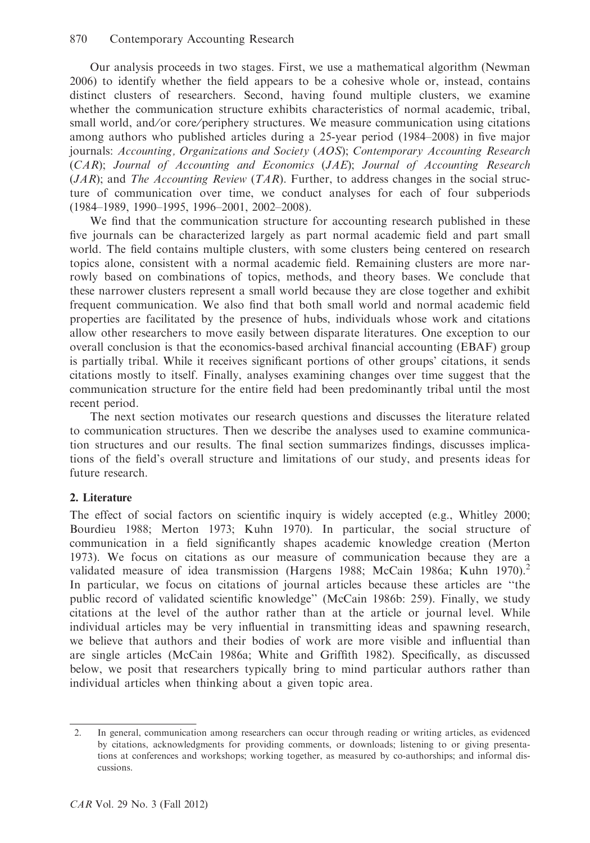Our analysis proceeds in two stages. First, we use a mathematical algorithm (Newman 2006) to identify whether the field appears to be a cohesive whole or, instead, contains distinct clusters of researchers. Second, having found multiple clusters, we examine whether the communication structure exhibits characteristics of normal academic, tribal, small world, and/or core/periphery structures. We measure communication using citations among authors who published articles during a 25-year period (1984–2008) in five major journals: Accounting, Organizations and Society (AOS); Contemporary Accounting Research (CAR); Journal of Accounting and Economics (JAE); Journal of Accounting Research  $(JAR)$ ; and The Accounting Review  $(TAR)$ . Further, to address changes in the social structure of communication over time, we conduct analyses for each of four subperiods (1984–1989, 1990–1995, 1996–2001, 2002–2008).

We find that the communication structure for accounting research published in these five journals can be characterized largely as part normal academic field and part small world. The field contains multiple clusters, with some clusters being centered on research topics alone, consistent with a normal academic field. Remaining clusters are more narrowly based on combinations of topics, methods, and theory bases. We conclude that these narrower clusters represent a small world because they are close together and exhibit frequent communication. We also find that both small world and normal academic field properties are facilitated by the presence of hubs, individuals whose work and citations allow other researchers to move easily between disparate literatures. One exception to our overall conclusion is that the economics-based archival financial accounting (EBAF) group is partially tribal. While it receives significant portions of other groups' citations, it sends citations mostly to itself. Finally, analyses examining changes over time suggest that the communication structure for the entire field had been predominantly tribal until the most recent period.

The next section motivates our research questions and discusses the literature related to communication structures. Then we describe the analyses used to examine communication structures and our results. The final section summarizes findings, discusses implications of the field's overall structure and limitations of our study, and presents ideas for future research.

## 2. Literature

The effect of social factors on scientific inquiry is widely accepted (e.g., Whitley 2000; Bourdieu 1988; Merton 1973; Kuhn 1970). In particular, the social structure of communication in a field significantly shapes academic knowledge creation (Merton 1973). We focus on citations as our measure of communication because they are a validated measure of idea transmission (Hargens 1988; McCain 1986a; Kuhn 1970).<sup>2</sup> In particular, we focus on citations of journal articles because these articles are ''the public record of validated scientific knowledge'' (McCain 1986b: 259). Finally, we study citations at the level of the author rather than at the article or journal level. While individual articles may be very influential in transmitting ideas and spawning research, we believe that authors and their bodies of work are more visible and influential than are single articles (McCain 1986a; White and Griffith 1982). Specifically, as discussed below, we posit that researchers typically bring to mind particular authors rather than individual articles when thinking about a given topic area.

<sup>2.</sup> In general, communication among researchers can occur through reading or writing articles, as evidenced by citations, acknowledgments for providing comments, or downloads; listening to or giving presentations at conferences and workshops; working together, as measured by co-authorships; and informal discussions.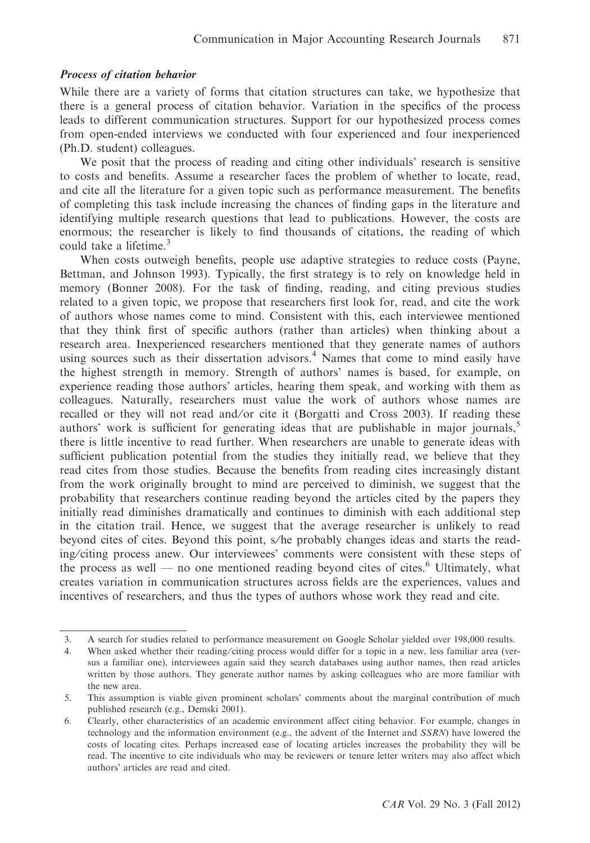#### Process of citation behavior

While there are a variety of forms that citation structures can take, we hypothesize that there is a general process of citation behavior. Variation in the specifics of the process leads to different communication structures. Support for our hypothesized process comes from open-ended interviews we conducted with four experienced and four inexperienced (Ph.D. student) colleagues.

We posit that the process of reading and citing other individuals' research is sensitive to costs and benefits. Assume a researcher faces the problem of whether to locate, read, and cite all the literature for a given topic such as performance measurement. The benefits of completing this task include increasing the chances of finding gaps in the literature and identifying multiple research questions that lead to publications. However, the costs are enormous; the researcher is likely to find thousands of citations, the reading of which could take a lifetime.<sup>3</sup>

When costs outweigh benefits, people use adaptive strategies to reduce costs (Payne, Bettman, and Johnson 1993). Typically, the first strategy is to rely on knowledge held in memory (Bonner 2008). For the task of finding, reading, and citing previous studies related to a given topic, we propose that researchers first look for, read, and cite the work of authors whose names come to mind. Consistent with this, each interviewee mentioned that they think first of specific authors (rather than articles) when thinking about a research area. Inexperienced researchers mentioned that they generate names of authors using sources such as their dissertation advisors.<sup>4</sup> Names that come to mind easily have the highest strength in memory. Strength of authors' names is based, for example, on experience reading those authors' articles, hearing them speak, and working with them as colleagues. Naturally, researchers must value the work of authors whose names are recalled or they will not read and/or cite it (Borgatti and Cross 2003). If reading these authors' work is sufficient for generating ideas that are publishable in major journals,<sup>5</sup> there is little incentive to read further. When researchers are unable to generate ideas with sufficient publication potential from the studies they initially read, we believe that they read cites from those studies. Because the benefits from reading cites increasingly distant from the work originally brought to mind are perceived to diminish, we suggest that the probability that researchers continue reading beyond the articles cited by the papers they initially read diminishes dramatically and continues to diminish with each additional step in the citation trail. Hence, we suggest that the average researcher is unlikely to read beyond cites of cites. Beyond this point, s⁄ he probably changes ideas and starts the reading ⁄ citing process anew. Our interviewees' comments were consistent with these steps of the process as well — no one mentioned reading beyond cites of cites.<sup>6</sup> Ultimately, what creates variation in communication structures across fields are the experiences, values and incentives of researchers, and thus the types of authors whose work they read and cite.

<sup>3.</sup> A search for studies related to performance measurement on Google Scholar yielded over 198,000 results.

<sup>4.</sup> When asked whether their reading/citing process would differ for a topic in a new, less familiar area (versus a familiar one), interviewees again said they search databases using author names, then read articles written by those authors. They generate author names by asking colleagues who are more familiar with the new area.

<sup>5.</sup> This assumption is viable given prominent scholars' comments about the marginal contribution of much published research (e.g., Demski 2001).

<sup>6.</sup> Clearly, other characteristics of an academic environment affect citing behavior. For example, changes in technology and the information environment (e.g., the advent of the Internet and SSRN) have lowered the costs of locating cites. Perhaps increased ease of locating articles increases the probability they will be read. The incentive to cite individuals who may be reviewers or tenure letter writers may also affect which authors' articles are read and cited.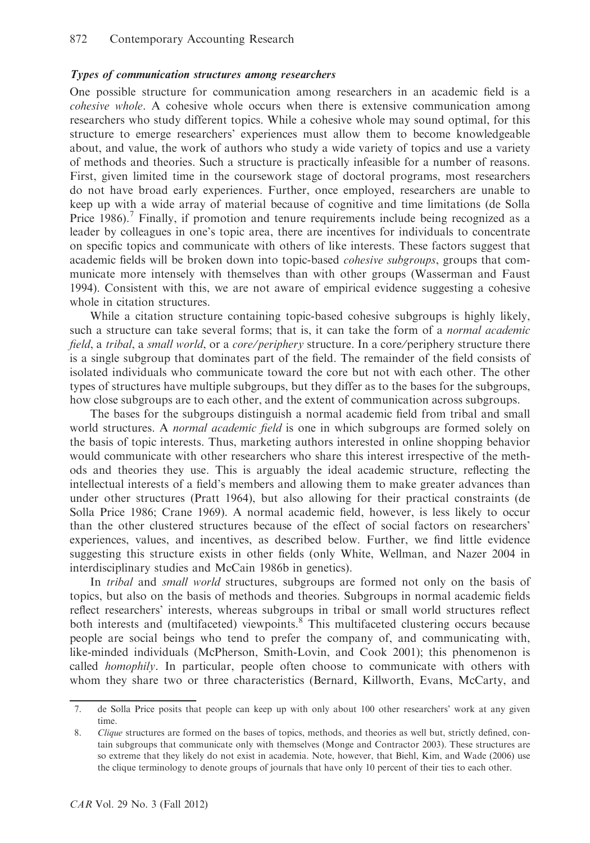#### Types of communication structures among researchers

One possible structure for communication among researchers in an academic field is a cohesive whole. A cohesive whole occurs when there is extensive communication among researchers who study different topics. While a cohesive whole may sound optimal, for this structure to emerge researchers' experiences must allow them to become knowledgeable about, and value, the work of authors who study a wide variety of topics and use a variety of methods and theories. Such a structure is practically infeasible for a number of reasons. First, given limited time in the coursework stage of doctoral programs, most researchers do not have broad early experiences. Further, once employed, researchers are unable to keep up with a wide array of material because of cognitive and time limitations (de Solla Price  $1986$ .<sup>7</sup> Finally, if promotion and tenure requirements include being recognized as a leader by colleagues in one's topic area, there are incentives for individuals to concentrate on specific topics and communicate with others of like interests. These factors suggest that academic fields will be broken down into topic-based cohesive subgroups, groups that communicate more intensely with themselves than with other groups (Wasserman and Faust 1994). Consistent with this, we are not aware of empirical evidence suggesting a cohesive whole in citation structures.

While a citation structure containing topic-based cohesive subgroups is highly likely, such a structure can take several forms; that is, it can take the form of a *normal academic* field, a tribal, a small world, or a core/periphery structure. In a core/periphery structure there is a single subgroup that dominates part of the field. The remainder of the field consists of isolated individuals who communicate toward the core but not with each other. The other types of structures have multiple subgroups, but they differ as to the bases for the subgroups, how close subgroups are to each other, and the extent of communication across subgroups.

The bases for the subgroups distinguish a normal academic field from tribal and small world structures. A *normal academic field* is one in which subgroups are formed solely on the basis of topic interests. Thus, marketing authors interested in online shopping behavior would communicate with other researchers who share this interest irrespective of the methods and theories they use. This is arguably the ideal academic structure, reflecting the intellectual interests of a field's members and allowing them to make greater advances than under other structures (Pratt 1964), but also allowing for their practical constraints (de Solla Price 1986; Crane 1969). A normal academic field, however, is less likely to occur than the other clustered structures because of the effect of social factors on researchers' experiences, values, and incentives, as described below. Further, we find little evidence suggesting this structure exists in other fields (only White, Wellman, and Nazer 2004 in interdisciplinary studies and McCain 1986b in genetics).

In *tribal* and *small world* structures, subgroups are formed not only on the basis of topics, but also on the basis of methods and theories. Subgroups in normal academic fields reflect researchers' interests, whereas subgroups in tribal or small world structures reflect both interests and (multifaceted) viewpoints.<sup>8</sup> This multifaceted clustering occurs because people are social beings who tend to prefer the company of, and communicating with, like-minded individuals (McPherson, Smith-Lovin, and Cook 2001); this phenomenon is called homophily. In particular, people often choose to communicate with others with whom they share two or three characteristics (Bernard, Killworth, Evans, McCarty, and

<sup>7.</sup> de Solla Price posits that people can keep up with only about 100 other researchers' work at any given time.

<sup>8.</sup> Clique structures are formed on the bases of topics, methods, and theories as well but, strictly defined, contain subgroups that communicate only with themselves (Monge and Contractor 2003). These structures are so extreme that they likely do not exist in academia. Note, however, that Biehl, Kim, and Wade (2006) use the clique terminology to denote groups of journals that have only 10 percent of their ties to each other.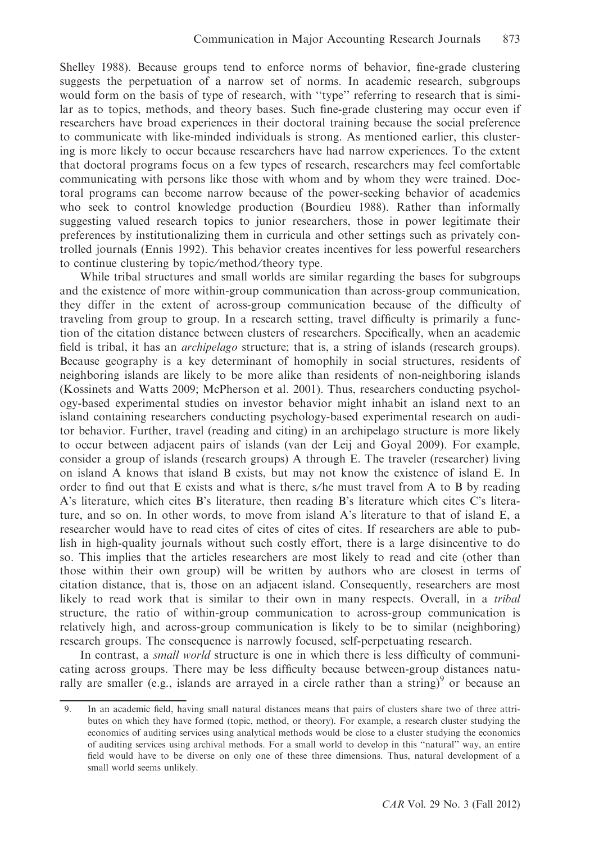Shelley 1988). Because groups tend to enforce norms of behavior, fine-grade clustering suggests the perpetuation of a narrow set of norms. In academic research, subgroups would form on the basis of type of research, with ''type'' referring to research that is similar as to topics, methods, and theory bases. Such fine-grade clustering may occur even if researchers have broad experiences in their doctoral training because the social preference to communicate with like-minded individuals is strong. As mentioned earlier, this clustering is more likely to occur because researchers have had narrow experiences. To the extent that doctoral programs focus on a few types of research, researchers may feel comfortable communicating with persons like those with whom and by whom they were trained. Doctoral programs can become narrow because of the power-seeking behavior of academics who seek to control knowledge production (Bourdieu 1988). Rather than informally suggesting valued research topics to junior researchers, those in power legitimate their preferences by institutionalizing them in curricula and other settings such as privately controlled journals (Ennis 1992). This behavior creates incentives for less powerful researchers to continue clustering by topic/method/theory type.

While tribal structures and small worlds are similar regarding the bases for subgroups and the existence of more within-group communication than across-group communication, they differ in the extent of across-group communication because of the difficulty of traveling from group to group. In a research setting, travel difficulty is primarily a function of the citation distance between clusters of researchers. Specifically, when an academic field is tribal, it has an *archipelago* structure; that is, a string of islands (research groups). Because geography is a key determinant of homophily in social structures, residents of neighboring islands are likely to be more alike than residents of non-neighboring islands (Kossinets and Watts 2009; McPherson et al. 2001). Thus, researchers conducting psychology-based experimental studies on investor behavior might inhabit an island next to an island containing researchers conducting psychology-based experimental research on auditor behavior. Further, travel (reading and citing) in an archipelago structure is more likely to occur between adjacent pairs of islands (van der Leij and Goyal 2009). For example, consider a group of islands (research groups) A through E. The traveler (researcher) living on island A knows that island B exists, but may not know the existence of island E. In order to find out that E exists and what is there, s⁄ he must travel from A to B by reading A's literature, which cites B's literature, then reading B's literature which cites C's literature, and so on. In other words, to move from island A's literature to that of island E, a researcher would have to read cites of cites of cites of cites. If researchers are able to publish in high-quality journals without such costly effort, there is a large disincentive to do so. This implies that the articles researchers are most likely to read and cite (other than those within their own group) will be written by authors who are closest in terms of citation distance, that is, those on an adjacent island. Consequently, researchers are most likely to read work that is similar to their own in many respects. Overall, in a tribal structure, the ratio of within-group communication to across-group communication is relatively high, and across-group communication is likely to be to similar (neighboring) research groups. The consequence is narrowly focused, self-perpetuating research.

In contrast, a *small world* structure is one in which there is less difficulty of communicating across groups. There may be less difficulty because between-group distances naturally are smaller (e.g., islands are arrayed in a circle rather than a string)<sup>9</sup> or because an

<sup>9.</sup> In an academic field, having small natural distances means that pairs of clusters share two of three attributes on which they have formed (topic, method, or theory). For example, a research cluster studying the economics of auditing services using analytical methods would be close to a cluster studying the economics of auditing services using archival methods. For a small world to develop in this ''natural'' way, an entire field would have to be diverse on only one of these three dimensions. Thus, natural development of a small world seems unlikely.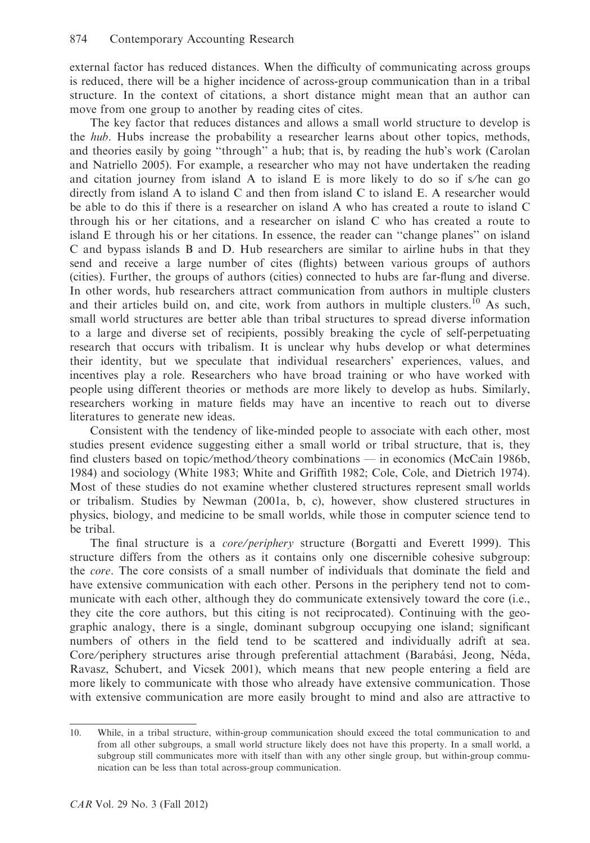external factor has reduced distances. When the difficulty of communicating across groups is reduced, there will be a higher incidence of across-group communication than in a tribal structure. In the context of citations, a short distance might mean that an author can move from one group to another by reading cites of cites.

The key factor that reduces distances and allows a small world structure to develop is the *hub*. Hubs increase the probability a researcher learns about other topics, methods, and theories easily by going ''through'' a hub; that is, by reading the hub's work (Carolan and Natriello 2005). For example, a researcher who may not have undertaken the reading and citation journey from island A to island E is more likely to do so if  $s/he$  can go directly from island A to island C and then from island C to island E. A researcher would be able to do this if there is a researcher on island A who has created a route to island C through his or her citations, and a researcher on island C who has created a route to island E through his or her citations. In essence, the reader can ''change planes'' on island C and bypass islands B and D. Hub researchers are similar to airline hubs in that they send and receive a large number of cites (flights) between various groups of authors (cities). Further, the groups of authors (cities) connected to hubs are far-flung and diverse. In other words, hub researchers attract communication from authors in multiple clusters and their articles build on, and cite, work from authors in multiple clusters.<sup>10</sup> As such, small world structures are better able than tribal structures to spread diverse information to a large and diverse set of recipients, possibly breaking the cycle of self-perpetuating research that occurs with tribalism. It is unclear why hubs develop or what determines their identity, but we speculate that individual researchers' experiences, values, and incentives play a role. Researchers who have broad training or who have worked with people using different theories or methods are more likely to develop as hubs. Similarly, researchers working in mature fields may have an incentive to reach out to diverse literatures to generate new ideas.

Consistent with the tendency of like-minded people to associate with each other, most studies present evidence suggesting either a small world or tribal structure, that is, they find clusters based on topic/method/theory combinations — in economics (McCain 1986b, 1984) and sociology (White 1983; White and Griffith 1982; Cole, Cole, and Dietrich 1974). Most of these studies do not examine whether clustered structures represent small worlds or tribalism. Studies by Newman (2001a, b, c), however, show clustered structures in physics, biology, and medicine to be small worlds, while those in computer science tend to be tribal.

The final structure is a *core/periphery* structure (Borgatti and Everett 1999). This structure differs from the others as it contains only one discernible cohesive subgroup: the core. The core consists of a small number of individuals that dominate the field and have extensive communication with each other. Persons in the periphery tend not to communicate with each other, although they do communicate extensively toward the core (i.e., they cite the core authors, but this citing is not reciprocated). Continuing with the geographic analogy, there is a single, dominant subgroup occupying one island; significant numbers of others in the field tend to be scattered and individually adrift at sea. Core/periphery structures arise through preferential attachment (Barabási, Jeong, Néda, Ravasz, Schubert, and Vicsek 2001), which means that new people entering a field are more likely to communicate with those who already have extensive communication. Those with extensive communication are more easily brought to mind and also are attractive to

<sup>10.</sup> While, in a tribal structure, within-group communication should exceed the total communication to and from all other subgroups, a small world structure likely does not have this property. In a small world, a subgroup still communicates more with itself than with any other single group, but within-group communication can be less than total across-group communication.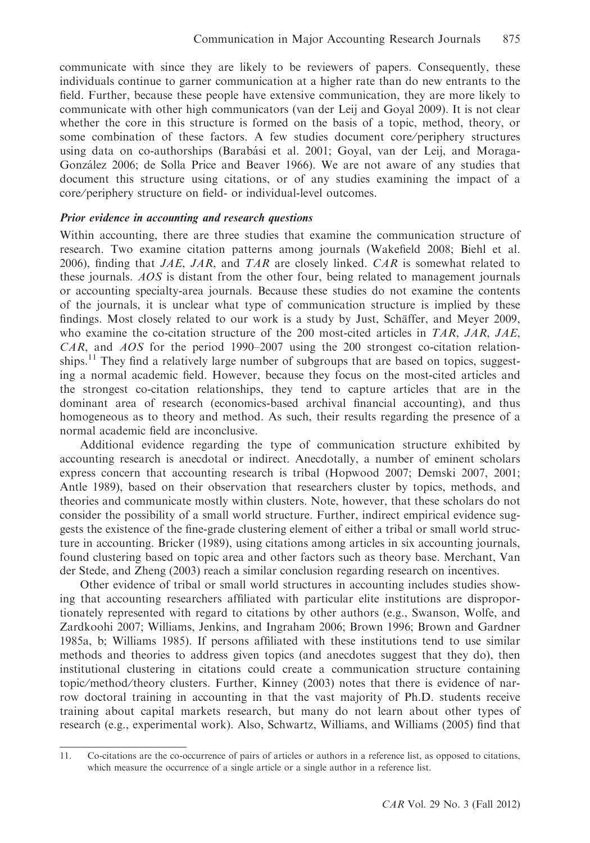communicate with since they are likely to be reviewers of papers. Consequently, these individuals continue to garner communication at a higher rate than do new entrants to the field. Further, because these people have extensive communication, they are more likely to communicate with other high communicators (van der Leij and Goyal 2009). It is not clear whether the core in this structure is formed on the basis of a topic, method, theory, or some combination of these factors. A few studies document core/periphery structures using data on co-authorships (Barabási et al. 2001; Goyal, van der Leij, and Moraga-González 2006; de Solla Price and Beaver 1966). We are not aware of any studies that document this structure using citations, or of any studies examining the impact of a core ⁄ periphery structure on field- or individual-level outcomes.

#### Prior evidence in accounting and research questions

Within accounting, there are three studies that examine the communication structure of research. Two examine citation patterns among journals (Wakefield 2008; Biehl et al. 2006), finding that  $JAE$ ,  $JAR$ , and  $TAR$  are closely linked.  $CAR$  is somewhat related to these journals. AOS is distant from the other four, being related to management journals or accounting specialty-area journals. Because these studies do not examine the contents of the journals, it is unclear what type of communication structure is implied by these findings. Most closely related to our work is a study by Just, Schäffer, and Meyer 2009, who examine the co-citation structure of the 200 most-cited articles in TAR, JAR, JAE, CAR, and AOS for the period 1990–2007 using the 200 strongest co-citation relationships.<sup>11</sup> They find a relatively large number of subgroups that are based on topics, suggesting a normal academic field. However, because they focus on the most-cited articles and the strongest co-citation relationships, they tend to capture articles that are in the dominant area of research (economics-based archival financial accounting), and thus homogeneous as to theory and method. As such, their results regarding the presence of a normal academic field are inconclusive.

Additional evidence regarding the type of communication structure exhibited by accounting research is anecdotal or indirect. Anecdotally, a number of eminent scholars express concern that accounting research is tribal (Hopwood 2007; Demski 2007, 2001; Antle 1989), based on their observation that researchers cluster by topics, methods, and theories and communicate mostly within clusters. Note, however, that these scholars do not consider the possibility of a small world structure. Further, indirect empirical evidence suggests the existence of the fine-grade clustering element of either a tribal or small world structure in accounting. Bricker (1989), using citations among articles in six accounting journals, found clustering based on topic area and other factors such as theory base. Merchant, Van der Stede, and Zheng (2003) reach a similar conclusion regarding research on incentives.

Other evidence of tribal or small world structures in accounting includes studies showing that accounting researchers affiliated with particular elite institutions are disproportionately represented with regard to citations by other authors (e.g., Swanson, Wolfe, and Zardkoohi 2007; Williams, Jenkins, and Ingraham 2006; Brown 1996; Brown and Gardner 1985a, b; Williams 1985). If persons affiliated with these institutions tend to use similar methods and theories to address given topics (and anecdotes suggest that they do), then institutional clustering in citations could create a communication structure containing topic/method/theory clusters. Further, Kinney (2003) notes that there is evidence of narrow doctoral training in accounting in that the vast majority of Ph.D. students receive training about capital markets research, but many do not learn about other types of research (e.g., experimental work). Also, Schwartz, Williams, and Williams (2005) find that

<sup>11.</sup> Co-citations are the co-occurrence of pairs of articles or authors in a reference list, as opposed to citations, which measure the occurrence of a single article or a single author in a reference list.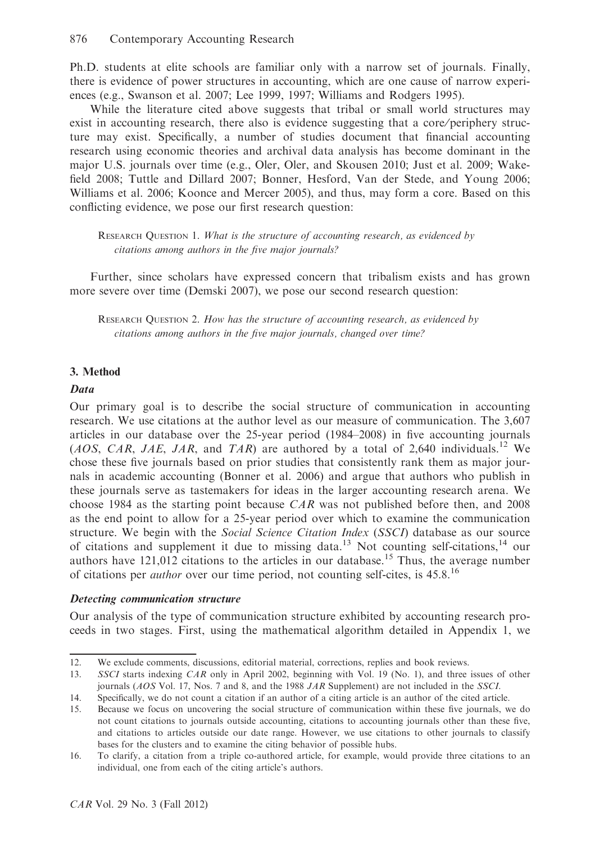Ph.D. students at elite schools are familiar only with a narrow set of journals. Finally, there is evidence of power structures in accounting, which are one cause of narrow experiences (e.g., Swanson et al. 2007; Lee 1999, 1997; Williams and Rodgers 1995).

While the literature cited above suggests that tribal or small world structures may exist in accounting research, there also is evidence suggesting that a core/periphery structure may exist. Specifically, a number of studies document that financial accounting research using economic theories and archival data analysis has become dominant in the major U.S. journals over time (e.g., Oler, Oler, and Skousen 2010; Just et al. 2009; Wakefield 2008; Tuttle and Dillard 2007; Bonner, Hesford, Van der Stede, and Young 2006; Williams et al. 2006; Koonce and Mercer 2005), and thus, may form a core. Based on this conflicting evidence, we pose our first research question:

RESEARCH QUESTION 1. What is the structure of accounting research, as evidenced by citations among authors in the five major journals?

Further, since scholars have expressed concern that tribalism exists and has grown more severe over time (Demski 2007), we pose our second research question:

RESEARCH QUESTION 2. How has the structure of accounting research, as evidenced by citations among authors in the five major journals, changed over time?

## 3. Method

## **Data**

Our primary goal is to describe the social structure of communication in accounting research. We use citations at the author level as our measure of communication. The 3,607 articles in our database over the 25-year period (1984–2008) in five accounting journals (AOS, CAR, JAE, JAR, and TAR) are authored by a total of 2,640 individuals.<sup>12</sup> We chose these five journals based on prior studies that consistently rank them as major journals in academic accounting (Bonner et al. 2006) and argue that authors who publish in these journals serve as tastemakers for ideas in the larger accounting research arena. We choose 1984 as the starting point because CAR was not published before then, and 2008 as the end point to allow for a 25-year period over which to examine the communication structure. We begin with the Social Science Citation Index (SSCI) database as our source of citations and supplement it due to missing data.<sup>13</sup> Not counting self-citations,<sup>14</sup> our authors have  $121,012$  citations to the articles in our database.<sup>15</sup> Thus, the average number of citations per *author* over our time period, not counting self-cites, is  $45.8^{16}$ 

## Detecting communication structure

Our analysis of the type of communication structure exhibited by accounting research proceeds in two stages. First, using the mathematical algorithm detailed in Appendix 1, we

<sup>12.</sup> We exclude comments, discussions, editorial material, corrections, replies and book reviews.

<sup>13.</sup> SSCI starts indexing CAR only in April 2002, beginning with Vol. 19 (No. 1), and three issues of other journals (AOS Vol. 17, Nos. 7 and 8, and the 1988 JAR Supplement) are not included in the SSCI.

<sup>14.</sup> Specifically, we do not count a citation if an author of a citing article is an author of the cited article.

<sup>15.</sup> Because we focus on uncovering the social structure of communication within these five journals, we do not count citations to journals outside accounting, citations to accounting journals other than these five, and citations to articles outside our date range. However, we use citations to other journals to classify bases for the clusters and to examine the citing behavior of possible hubs.

<sup>16.</sup> To clarify, a citation from a triple co-authored article, for example, would provide three citations to an individual, one from each of the citing article's authors.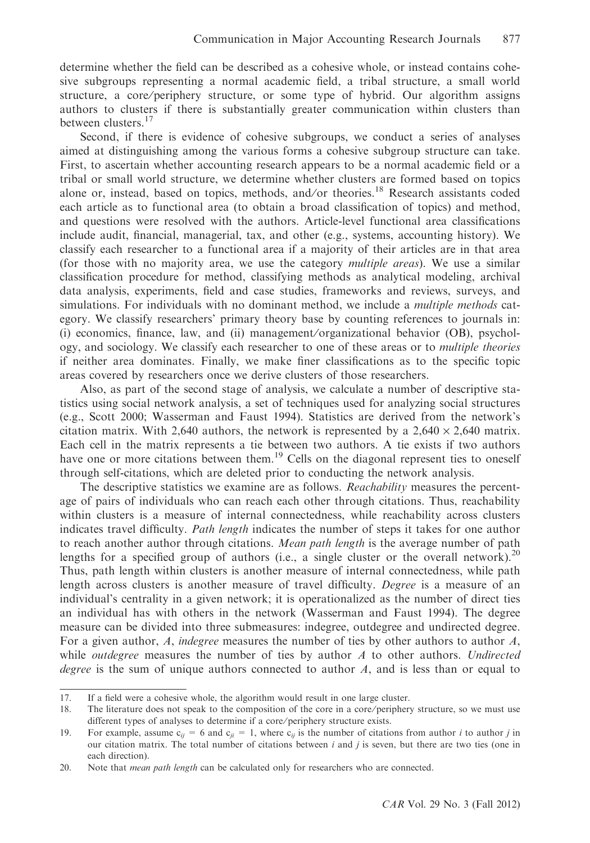determine whether the field can be described as a cohesive whole, or instead contains cohesive subgroups representing a normal academic field, a tribal structure, a small world structure, a core/periphery structure, or some type of hybrid. Our algorithm assigns authors to clusters if there is substantially greater communication within clusters than between clusters.<sup>17</sup>

Second, if there is evidence of cohesive subgroups, we conduct a series of analyses aimed at distinguishing among the various forms a cohesive subgroup structure can take. First, to ascertain whether accounting research appears to be a normal academic field or a tribal or small world structure, we determine whether clusters are formed based on topics alone or, instead, based on topics, methods, and/or theories.<sup>18</sup> Research assistants coded each article as to functional area (to obtain a broad classification of topics) and method, and questions were resolved with the authors. Article-level functional area classifications include audit, financial, managerial, tax, and other (e.g., systems, accounting history). We classify each researcher to a functional area if a majority of their articles are in that area (for those with no majority area, we use the category multiple areas). We use a similar classification procedure for method, classifying methods as analytical modeling, archival data analysis, experiments, field and case studies, frameworks and reviews, surveys, and simulations. For individuals with no dominant method, we include a *multiple methods* category. We classify researchers' primary theory base by counting references to journals in: (i) economics, finance, law, and (ii) management⁄ organizational behavior (OB), psychology, and sociology. We classify each researcher to one of these areas or to multiple theories if neither area dominates. Finally, we make finer classifications as to the specific topic areas covered by researchers once we derive clusters of those researchers.

Also, as part of the second stage of analysis, we calculate a number of descriptive statistics using social network analysis, a set of techniques used for analyzing social structures (e.g., Scott 2000; Wasserman and Faust 1994). Statistics are derived from the network's citation matrix. With 2,640 authors, the network is represented by a  $2,640 \times 2,640$  matrix. Each cell in the matrix represents a tie between two authors. A tie exists if two authors have one or more citations between them.<sup>19</sup> Cells on the diagonal represent ties to oneself through self-citations, which are deleted prior to conducting the network analysis.

The descriptive statistics we examine are as follows. *Reachability* measures the percentage of pairs of individuals who can reach each other through citations. Thus, reachability within clusters is a measure of internal connectedness, while reachability across clusters indicates travel difficulty. Path length indicates the number of steps it takes for one author to reach another author through citations. Mean path length is the average number of path lengths for a specified group of authors (i.e., a single cluster or the overall network).<sup>20</sup> Thus, path length within clusters is another measure of internal connectedness, while path length across clusters is another measure of travel difficulty. Degree is a measure of an individual's centrality in a given network; it is operationalized as the number of direct ties an individual has with others in the network (Wasserman and Faust 1994). The degree measure can be divided into three submeasures: indegree, outdegree and undirected degree. For a given author, A, indegree measures the number of ties by other authors to author  $A$ , while *outdegree* measures the number of ties by author  $A$  to other authors. Undirected degree is the sum of unique authors connected to author  $A$ , and is less than or equal to

<sup>17.</sup> If a field were a cohesive whole, the algorithm would result in one large cluster.

<sup>18.</sup> The literature does not speak to the composition of the core in a core ⁄ periphery structure, so we must use different types of analyses to determine if a core ⁄ periphery structure exists.

<sup>19.</sup> For example, assume  $c_{ij} = 6$  and  $c_{ij} = 1$ , where  $c_{ij}$  is the number of citations from author *i* to author *j* in our citation matrix. The total number of citations between  $i$  and  $j$  is seven, but there are two ties (one in each direction).

<sup>20.</sup> Note that *mean path length* can be calculated only for researchers who are connected.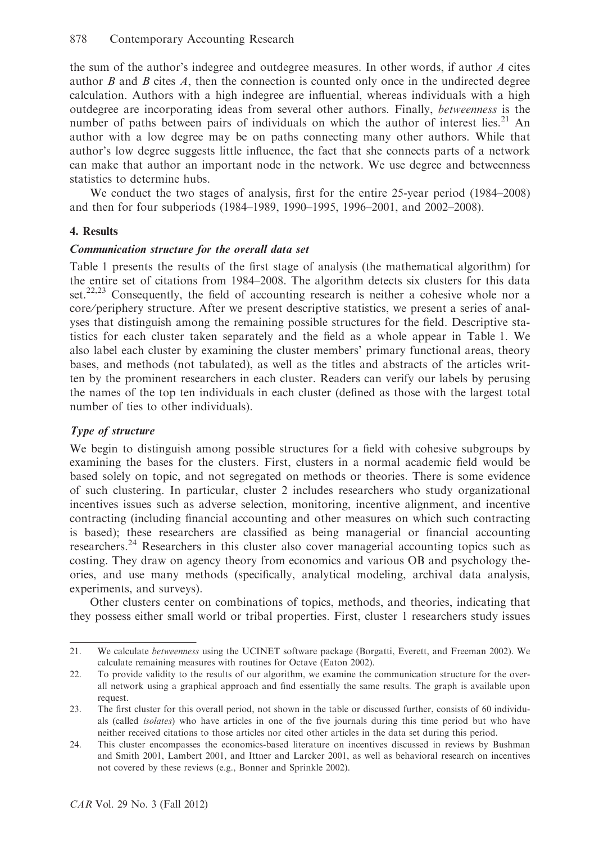the sum of the author's indegree and outdegree measures. In other words, if author A cites author  $B$  and  $B$  cites  $A$ , then the connection is counted only once in the undirected degree calculation. Authors with a high indegree are influential, whereas individuals with a high outdegree are incorporating ideas from several other authors. Finally, betweenness is the number of paths between pairs of individuals on which the author of interest lies.<sup>21</sup> An author with a low degree may be on paths connecting many other authors. While that author's low degree suggests little influence, the fact that she connects parts of a network can make that author an important node in the network. We use degree and betweenness statistics to determine hubs.

We conduct the two stages of analysis, first for the entire 25-year period (1984–2008) and then for four subperiods (1984–1989, 1990–1995, 1996–2001, and 2002–2008).

## 4. Results

#### Communication structure for the overall data set

Table 1 presents the results of the first stage of analysis (the mathematical algorithm) for the entire set of citations from 1984–2008. The algorithm detects six clusters for this data set.<sup>22,23</sup> Consequently, the field of accounting research is neither a cohesive whole nor a core ⁄ periphery structure. After we present descriptive statistics, we present a series of analyses that distinguish among the remaining possible structures for the field. Descriptive statistics for each cluster taken separately and the field as a whole appear in Table 1. We also label each cluster by examining the cluster members' primary functional areas, theory bases, and methods (not tabulated), as well as the titles and abstracts of the articles written by the prominent researchers in each cluster. Readers can verify our labels by perusing the names of the top ten individuals in each cluster (defined as those with the largest total number of ties to other individuals).

## Type of structure

We begin to distinguish among possible structures for a field with cohesive subgroups by examining the bases for the clusters. First, clusters in a normal academic field would be based solely on topic, and not segregated on methods or theories. There is some evidence of such clustering. In particular, cluster 2 includes researchers who study organizational incentives issues such as adverse selection, monitoring, incentive alignment, and incentive contracting (including financial accounting and other measures on which such contracting is based); these researchers are classified as being managerial or financial accounting researchers.<sup>24</sup> Researchers in this cluster also cover managerial accounting topics such as costing. They draw on agency theory from economics and various OB and psychology theories, and use many methods (specifically, analytical modeling, archival data analysis, experiments, and surveys).

Other clusters center on combinations of topics, methods, and theories, indicating that they possess either small world or tribal properties. First, cluster 1 researchers study issues

<sup>21.</sup> We calculate betweenness using the UCINET software package (Borgatti, Everett, and Freeman 2002). We calculate remaining measures with routines for Octave (Eaton 2002).

<sup>22.</sup> To provide validity to the results of our algorithm, we examine the communication structure for the overall network using a graphical approach and find essentially the same results. The graph is available upon request.

<sup>23.</sup> The first cluster for this overall period, not shown in the table or discussed further, consists of 60 individuals (called isolates) who have articles in one of the five journals during this time period but who have neither received citations to those articles nor cited other articles in the data set during this period.

<sup>24.</sup> This cluster encompasses the economics-based literature on incentives discussed in reviews by Bushman and Smith 2001, Lambert 2001, and Ittner and Larcker 2001, as well as behavioral research on incentives not covered by these reviews (e.g., Bonner and Sprinkle 2002).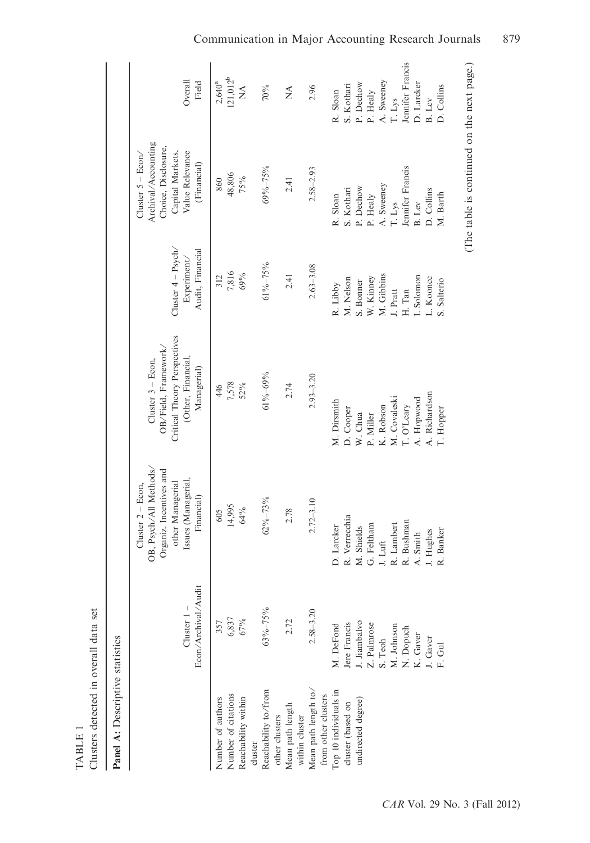| Panel A: Descriptive statistics                                  |                                                                                                                                         |                                                                                                                                      |                                                                                                                                         |                                                                                                                              |                                                                                                                                 |                                                                                                                                   |
|------------------------------------------------------------------|-----------------------------------------------------------------------------------------------------------------------------------------|--------------------------------------------------------------------------------------------------------------------------------------|-----------------------------------------------------------------------------------------------------------------------------------------|------------------------------------------------------------------------------------------------------------------------------|---------------------------------------------------------------------------------------------------------------------------------|-----------------------------------------------------------------------------------------------------------------------------------|
|                                                                  | Econ/Archival/Audit<br>Cluster 1 -                                                                                                      | OB, Psych/All Methods/<br>Organiz. Incentives and<br>Issues (Managerial,<br>other Managerial<br>Cluster $2 - Econ$ ,<br>Financial)   | Critical Theory Perspectives<br>OB/Field, Framework/<br>(Other, Financial,<br>Cluster $3 -$ Econ,<br>Managerial)                        | Cluster $4 - \text{Psych}$<br>Audit, Financial<br>Experiment/                                                                | Archival/Accounting<br>Choice, Disclosure,<br>Capital Markets,<br>Value Relevance<br>Cluster $5 -$ Econ/<br>(Financial)         | Overall<br>Field                                                                                                                  |
| Number of citations<br>Number of authors<br>Reachability within  | $6,837$<br>$67%$<br>357                                                                                                                 | 14,995<br>64%<br>605                                                                                                                 | 7,578<br>$52\%$<br>446                                                                                                                  | 7,816<br>$69\%$<br>312                                                                                                       | 48,806<br>75%<br>860                                                                                                            | $121,012^{b}$<br>$2,640^{a}$<br>$\lessapprox$                                                                                     |
| Reachability to/from<br>cluster                                  | 63%-75%                                                                                                                                 | $62\% - 73\%$                                                                                                                        | 61%-69%                                                                                                                                 | 61%-75%                                                                                                                      | 69%-75%                                                                                                                         | 70%                                                                                                                               |
| Mean path length<br>within cluster<br>other clusters             | 2.72                                                                                                                                    | 2.78                                                                                                                                 | 2.74                                                                                                                                    | 2.41                                                                                                                         | 2.41                                                                                                                            | ≸                                                                                                                                 |
| Mean path length to/<br>from other clusters                      | $2.58 - 3.20$                                                                                                                           | $2.72 - 3.10$                                                                                                                        | $2.93 - 3.20$                                                                                                                           | $2.63 - 3.08$                                                                                                                | $2.58 - 2.93$                                                                                                                   | 2.96                                                                                                                              |
| Top 10 individuals in<br>undirected degree)<br>cluster (based on | J. Jiambalvo<br><b>Jere Francis</b><br>M. DeFond<br>Z. Palmrose<br>M. Johnson<br>N. Dopuch<br>K. Gaver<br>S. Teoh<br>J. Gaver<br>F. Gul | R. Verrecchia<br>R. Bushman<br>G. Feltham<br>R. Lambert<br>D. Larcker<br>M. Shields<br>J. Hughes<br>R. Banker<br>A. Smith<br>J. Luft | A. Richardson<br>M. Covaleski<br>A. Hopwood<br>M. Dirsmith<br>T. O'Leary<br>K. Robson<br>D. Cooper<br>T. Hopper<br>W. Chua<br>P. Miller | M. Gibbins<br>. Solomon<br>W. Kinney<br>M. Nelson<br>L. Koonce<br>S. Salterio<br>S. Bonner<br>R. Libby<br>J. Pratt<br>H. Tan | Jennifer Francis<br>A. Sweeney<br>P. Dechow<br>S. Kothari<br>D. Collins<br>R. Sloan<br>M. Barth<br>P. Healy<br>T. Lys<br>B. Lev | Jennifer Francis<br>A. Sweeney<br>D. Larcker<br>P. Dechow<br>S. Kothari<br>D. Collins<br>R. Sloan<br>P. Healy<br>T. Lys<br>B. Lev |
|                                                                  |                                                                                                                                         |                                                                                                                                      |                                                                                                                                         |                                                                                                                              |                                                                                                                                 |                                                                                                                                   |

TABLE 1

TABLE 1

Clusters detected in overall data set

Clusters detected in overall data set

(The table is continued on the next page.)

(The table is continued on the next page.)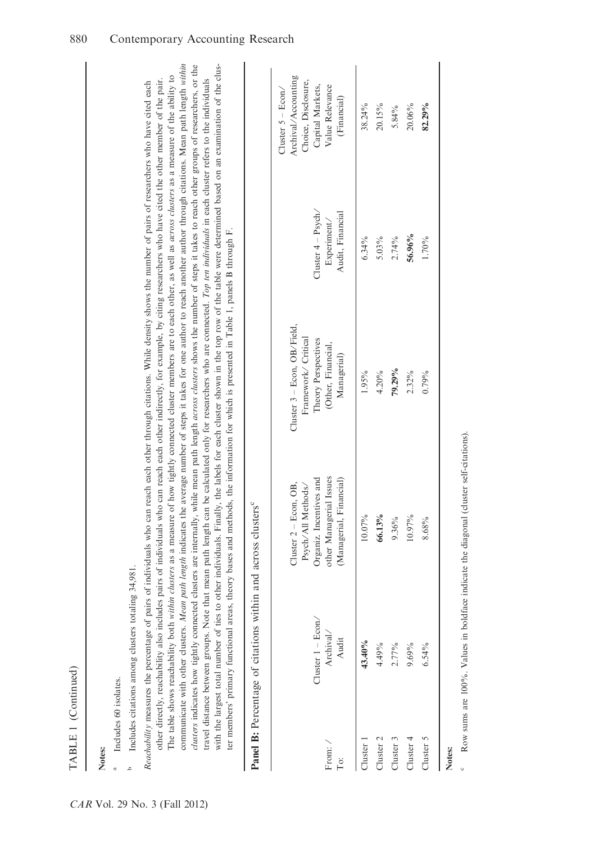| т<br>٦<br>٦ |
|-------------|

| otes: |
|-------|
| ۶     |

- Includes 60 isolates. Includes 60 isolates. a
- Includes citations among clusters totaling 34,981. Includes citations among clusters totaling 34,981. b

CAR Vol. 29 No. 3 (Fall 2012)

communicate with other clusters. *Mean path length* indicates the average number of steps it takes for one author to reach another author through citations. Mean path length *within* communicate with other clusters. *Mean path length* indicates the average number of steps it takes for one author to reach another author through citations. Mean path length wi*thin* clusters indicates how tightly connected clusters are internally, while mean path length across clusters shows the number of steps it takes to reach other groups of researchers, or the with the largest total number of ties to other individuals. Finally, the labels for each cluster shown in the top row of the table were determined based on an examination of the cluswith the largest total number of ties to other individuals. Finally, the labels for each cluster shown in the top row of the table were determined based on an examination of the clusclusters indicates how tightly connected clusters are internally, while mean path length *across clusters* shows the number of steps it takes to reach other groups of researchers, or the The table shows reachability both within clusters as a measure of how tightly connected cluster members are to each other, as well as across clusters as a measure of the ability to other directly, reachability also includes pairs of individuals who can reach each other indirectly, for example, by citing researchers who have cited the other member of the pair. The table shows reachability both wi*thin clusters* as a measure of how tightly connected cluster members are to each other, as well as *across clusters* as a measure of the ability to travel distance between groups. Note that mean path length can be calculated only for researchers who are connected. Top ten individuals in each cluster refers to the individuals other directly, reachability also includes pairs of individuals who can reach each other indirectly, for example, by citing researchers who have cited the other member of the pair. travel distance between groups. Note that mean path length can be calculated only for researchers who are connected. Top ten individuals in each cluster refers to the individuals Reachability measures the percentage of pairs of individuals who can reach each other through citations. While density shows the number of pairs of researchers who have cited each Reachability measures the percentage of pairs of individuals who can reach each other through citations. While density shows the number of pairs of researchers who have cited each ter members' primary functional areas, theory bases and methods, the information for which is presented in Table 1, panels B through F. ter members' primary functional areas, theory bases and methods, the information for which is presented in Table 1, panels B through F.

|                    | į                                                                                           |
|--------------------|---------------------------------------------------------------------------------------------|
|                    | へいへ<br>$\vdots$                                                                             |
| j                  | $-12.7$<br>֖֖֖֖֖֖֖֖֖֧ׅ֖֖֧֪֪֪֪֪֪֪֪֪֪֪֪֪֪ׅ֧֚֚֚֚֚֚֚֚֚֚֚֚֚֚֚֚֚֚֚֚֚֚֚֚֚֚֚֚֬֝֝֓֞<br>ı<br>$\vdots$ |
|                    | i<br>$\ddot{\cdot}$                                                                         |
|                    |                                                                                             |
| ļ                  | ׇ֚֘֡                                                                                        |
|                    |                                                                                             |
| $\frac{1}{2}$<br>I | ı<br>$\vdots$<br>ׇ֚                                                                         |

|                     |                                    |                             |                         |                       | Votes:       |
|---------------------|------------------------------------|-----------------------------|-------------------------|-----------------------|--------------|
| 82.29%              | 1.70%                              | $0.79\%$                    | 8.68%                   | $6.54\%$              | luster 5     |
| 20.06%              | 56.96%                             | $2.32\%$                    | 10.97%                  | $9.69\%$              | $2$ luster 4 |
| 5.84%               | 2.74%                              | 79.29%                      | 9.36%                   | $2.77\%$              | Juster 3     |
| 20.15%              | $5.03\%$                           | $4.20\%$                    | 66.13%                  | 4.49%                 | Cluster 2    |
| 38.24%              | $6.34\%$                           | 1.95%                       | 10.07%                  | 43.40%                | luster 1     |
| (Financial)         | Audit, Financial                   | Managerial)                 | (Managerial, Financial) | Audit                 | .<br>Lo:     |
| Value Relevance     | Experiment/                        | (Other, Financial,          | other Managerial Issues | Archival/             | From: /      |
| Capital Markets,    | $\text{Cluster } 4 - \text{Psych}$ | Theory Perspectives         | Organiz. Incentives and | $2$ luster $1 - Econ$ |              |
| Choice, Disclosure, |                                    | Framework/Critical          | Psych/All Methods/      |                       |              |
| Archival/Accounting |                                    | $Juster 3 - Econ, OB/Field$ | Cluster $2 -$ Econ, OB, |                       |              |
| $Juster 5 - Econ/$  |                                    |                             |                         |                       |              |

Notes:

c

Row sums are 100%. Values in boldface indicate the diagonal (cluster self-citations). Row sums are 100%. Values in boldface indicate the diagonal (cluster self-citations).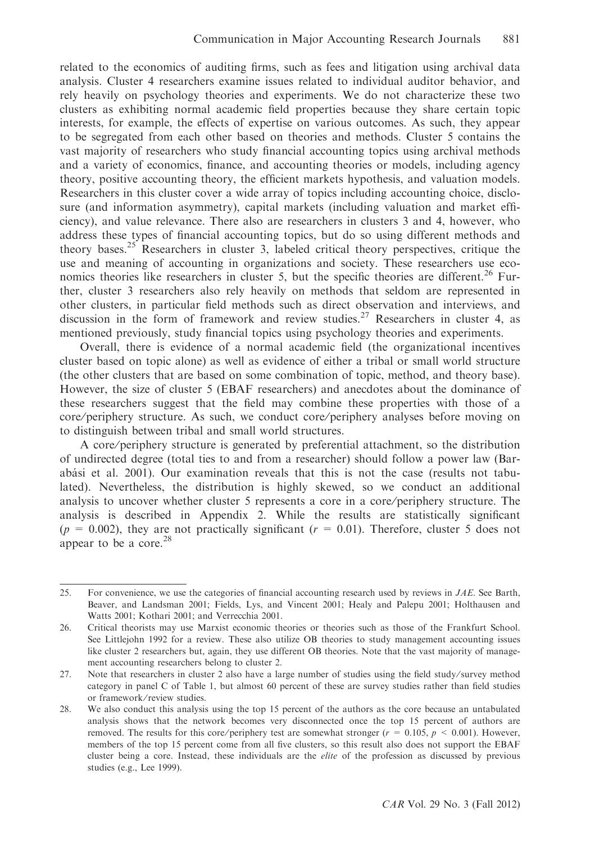related to the economics of auditing firms, such as fees and litigation using archival data analysis. Cluster 4 researchers examine issues related to individual auditor behavior, and rely heavily on psychology theories and experiments. We do not characterize these two clusters as exhibiting normal academic field properties because they share certain topic interests, for example, the effects of expertise on various outcomes. As such, they appear to be segregated from each other based on theories and methods. Cluster 5 contains the vast majority of researchers who study financial accounting topics using archival methods and a variety of economics, finance, and accounting theories or models, including agency theory, positive accounting theory, the efficient markets hypothesis, and valuation models. Researchers in this cluster cover a wide array of topics including accounting choice, disclosure (and information asymmetry), capital markets (including valuation and market efficiency), and value relevance. There also are researchers in clusters 3 and 4, however, who address these types of financial accounting topics, but do so using different methods and theory bases.<sup>25</sup> Researchers in cluster 3, labeled critical theory perspectives, critique the use and meaning of accounting in organizations and society. These researchers use economics theories like researchers in cluster 5, but the specific theories are different.<sup>26</sup> Further, cluster 3 researchers also rely heavily on methods that seldom are represented in other clusters, in particular field methods such as direct observation and interviews, and discussion in the form of framework and review studies.<sup>27</sup> Researchers in cluster 4, as mentioned previously, study financial topics using psychology theories and experiments.

Overall, there is evidence of a normal academic field (the organizational incentives cluster based on topic alone) as well as evidence of either a tribal or small world structure (the other clusters that are based on some combination of topic, method, and theory base). However, the size of cluster 5 (EBAF researchers) and anecdotes about the dominance of these researchers suggest that the field may combine these properties with those of a core/periphery structure. As such, we conduct core/periphery analyses before moving on to distinguish between tribal and small world structures.

A core ⁄ periphery structure is generated by preferential attachment, so the distribution of undirected degree (total ties to and from a researcher) should follow a power law (Barabási et al. 2001). Our examination reveals that this is not the case (results not tabulated). Nevertheless, the distribution is highly skewed, so we conduct an additional analysis to uncover whether cluster 5 represents a core in a core ⁄ periphery structure. The analysis is described in Appendix 2. While the results are statistically significant  $(p = 0.002)$ , they are not practically significant  $(r = 0.01)$ . Therefore, cluster 5 does not appear to be a core. $^{28}$ 

<sup>25.</sup> For convenience, we use the categories of financial accounting research used by reviews in JAE. See Barth, Beaver, and Landsman 2001; Fields, Lys, and Vincent 2001; Healy and Palepu 2001; Holthausen and Watts 2001; Kothari 2001; and Verrecchia 2001.

<sup>26.</sup> Critical theorists may use Marxist economic theories or theories such as those of the Frankfurt School. See Littlejohn 1992 for a review. These also utilize OB theories to study management accounting issues like cluster 2 researchers but, again, they use different OB theories. Note that the vast majority of management accounting researchers belong to cluster 2.

<sup>27.</sup> Note that researchers in cluster 2 also have a large number of studies using the field study/survey method category in panel C of Table 1, but almost 60 percent of these are survey studies rather than field studies or framework/review studies.

<sup>28.</sup> We also conduct this analysis using the top 15 percent of the authors as the core because an untabulated analysis shows that the network becomes very disconnected once the top 15 percent of authors are removed. The results for this core/periphery test are somewhat stronger ( $r = 0.105$ ,  $p < 0.001$ ). However, members of the top 15 percent come from all five clusters, so this result also does not support the EBAF cluster being a core. Instead, these individuals are the elite of the profession as discussed by previous studies (e.g., Lee 1999).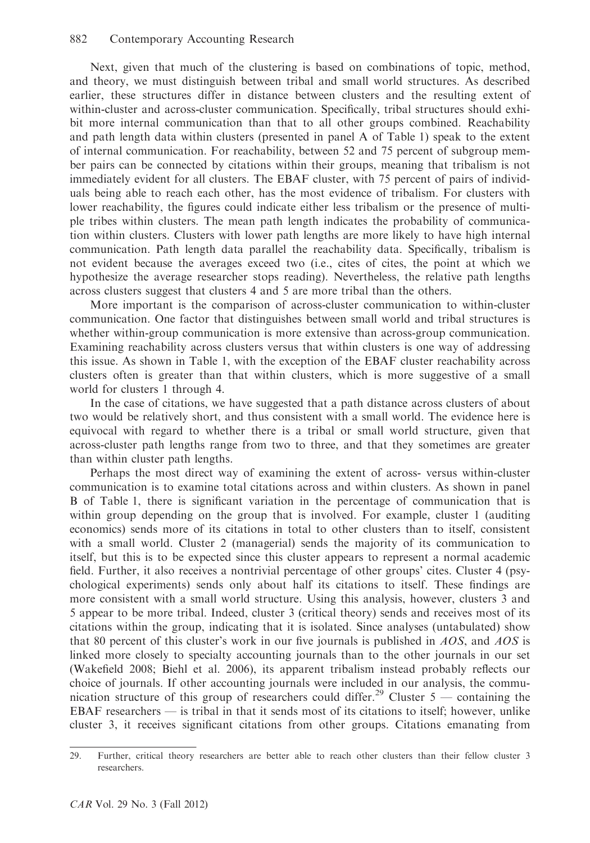Next, given that much of the clustering is based on combinations of topic, method, and theory, we must distinguish between tribal and small world structures. As described earlier, these structures differ in distance between clusters and the resulting extent of within-cluster and across-cluster communication. Specifically, tribal structures should exhibit more internal communication than that to all other groups combined. Reachability and path length data within clusters (presented in panel A of Table 1) speak to the extent of internal communication. For reachability, between 52 and 75 percent of subgroup member pairs can be connected by citations within their groups, meaning that tribalism is not immediately evident for all clusters. The EBAF cluster, with 75 percent of pairs of individuals being able to reach each other, has the most evidence of tribalism. For clusters with lower reachability, the figures could indicate either less tribalism or the presence of multiple tribes within clusters. The mean path length indicates the probability of communication within clusters. Clusters with lower path lengths are more likely to have high internal communication. Path length data parallel the reachability data. Specifically, tribalism is not evident because the averages exceed two (i.e., cites of cites, the point at which we hypothesize the average researcher stops reading). Nevertheless, the relative path lengths across clusters suggest that clusters 4 and 5 are more tribal than the others.

More important is the comparison of across-cluster communication to within-cluster communication. One factor that distinguishes between small world and tribal structures is whether within-group communication is more extensive than across-group communication. Examining reachability across clusters versus that within clusters is one way of addressing this issue. As shown in Table 1, with the exception of the EBAF cluster reachability across clusters often is greater than that within clusters, which is more suggestive of a small world for clusters 1 through 4.

In the case of citations, we have suggested that a path distance across clusters of about two would be relatively short, and thus consistent with a small world. The evidence here is equivocal with regard to whether there is a tribal or small world structure, given that across-cluster path lengths range from two to three, and that they sometimes are greater than within cluster path lengths.

Perhaps the most direct way of examining the extent of across- versus within-cluster communication is to examine total citations across and within clusters. As shown in panel B of Table 1, there is significant variation in the percentage of communication that is within group depending on the group that is involved. For example, cluster 1 (auditing economics) sends more of its citations in total to other clusters than to itself, consistent with a small world. Cluster 2 (managerial) sends the majority of its communication to itself, but this is to be expected since this cluster appears to represent a normal academic field. Further, it also receives a nontrivial percentage of other groups' cites. Cluster 4 (psychological experiments) sends only about half its citations to itself. These findings are more consistent with a small world structure. Using this analysis, however, clusters 3 and 5 appear to be more tribal. Indeed, cluster 3 (critical theory) sends and receives most of its citations within the group, indicating that it is isolated. Since analyses (untabulated) show that 80 percent of this cluster's work in our five journals is published in AOS, and AOS is linked more closely to specialty accounting journals than to the other journals in our set (Wakefield 2008; Biehl et al. 2006), its apparent tribalism instead probably reflects our choice of journals. If other accounting journals were included in our analysis, the communication structure of this group of researchers could differ.<sup>29</sup> Cluster  $5$  — containing the EBAF researchers — is tribal in that it sends most of its citations to itself; however, unlike cluster 3, it receives significant citations from other groups. Citations emanating from

<sup>29.</sup> Further, critical theory researchers are better able to reach other clusters than their fellow cluster 3 researchers.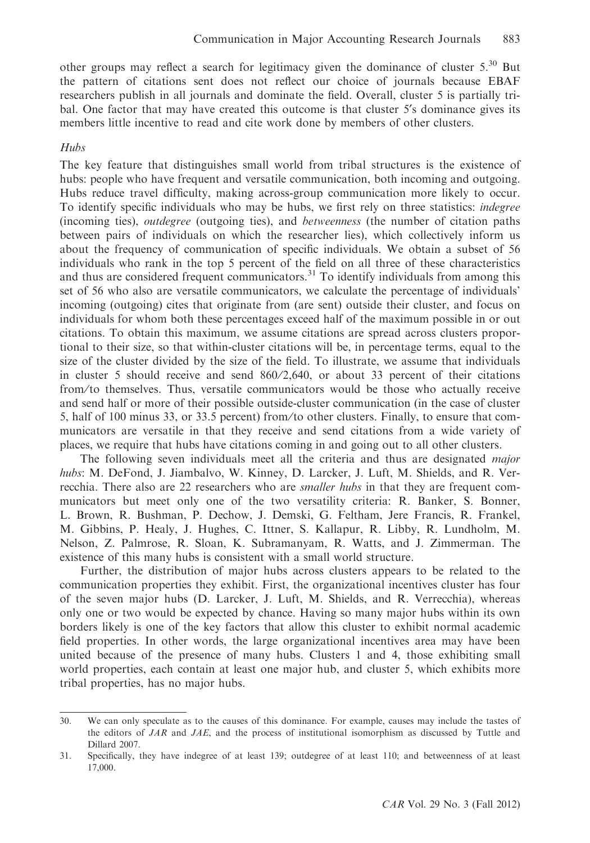other groups may reflect a search for legitimacy given the dominance of cluster  $5^{30}$  But the pattern of citations sent does not reflect our choice of journals because EBAF researchers publish in all journals and dominate the field. Overall, cluster 5 is partially tribal. One factor that may have created this outcome is that cluster 5<sup>'</sup>s dominance gives its members little incentive to read and cite work done by members of other clusters.

#### **Hubs**

The key feature that distinguishes small world from tribal structures is the existence of hubs: people who have frequent and versatile communication, both incoming and outgoing. Hubs reduce travel difficulty, making across-group communication more likely to occur. To identify specific individuals who may be hubs, we first rely on three statistics: *indegree* (incoming ties), outdegree (outgoing ties), and betweenness (the number of citation paths between pairs of individuals on which the researcher lies), which collectively inform us about the frequency of communication of specific individuals. We obtain a subset of 56 individuals who rank in the top 5 percent of the field on all three of these characteristics and thus are considered frequent communicators.<sup>31</sup> To identify individuals from among this set of 56 who also are versatile communicators, we calculate the percentage of individuals' incoming (outgoing) cites that originate from (are sent) outside their cluster, and focus on individuals for whom both these percentages exceed half of the maximum possible in or out citations. To obtain this maximum, we assume citations are spread across clusters proportional to their size, so that within-cluster citations will be, in percentage terms, equal to the size of the cluster divided by the size of the field. To illustrate, we assume that individuals in cluster 5 should receive and send  $860/2,640$ , or about 33 percent of their citations from ⁄to themselves. Thus, versatile communicators would be those who actually receive and send half or more of their possible outside-cluster communication (in the case of cluster 5, half of 100 minus 33, or 33.5 percent) from ⁄to other clusters. Finally, to ensure that communicators are versatile in that they receive and send citations from a wide variety of places, we require that hubs have citations coming in and going out to all other clusters.

The following seven individuals meet all the criteria and thus are designated major hubs: M. DeFond, J. Jiambalvo, W. Kinney, D. Larcker, J. Luft, M. Shields, and R. Verrecchia. There also are 22 researchers who are smaller hubs in that they are frequent communicators but meet only one of the two versatility criteria: R. Banker, S. Bonner, L. Brown, R. Bushman, P. Dechow, J. Demski, G. Feltham, Jere Francis, R. Frankel, M. Gibbins, P. Healy, J. Hughes, C. Ittner, S. Kallapur, R. Libby, R. Lundholm, M. Nelson, Z. Palmrose, R. Sloan, K. Subramanyam, R. Watts, and J. Zimmerman. The existence of this many hubs is consistent with a small world structure.

Further, the distribution of major hubs across clusters appears to be related to the communication properties they exhibit. First, the organizational incentives cluster has four of the seven major hubs (D. Larcker, J. Luft, M. Shields, and R. Verrecchia), whereas only one or two would be expected by chance. Having so many major hubs within its own borders likely is one of the key factors that allow this cluster to exhibit normal academic field properties. In other words, the large organizational incentives area may have been united because of the presence of many hubs. Clusters 1 and 4, those exhibiting small world properties, each contain at least one major hub, and cluster 5, which exhibits more tribal properties, has no major hubs.

<sup>30.</sup> We can only speculate as to the causes of this dominance. For example, causes may include the tastes of the editors of JAR and JAE, and the process of institutional isomorphism as discussed by Tuttle and Dillard 2007.

<sup>31.</sup> Specifically, they have indegree of at least 139; outdegree of at least 110; and betweenness of at least 17,000.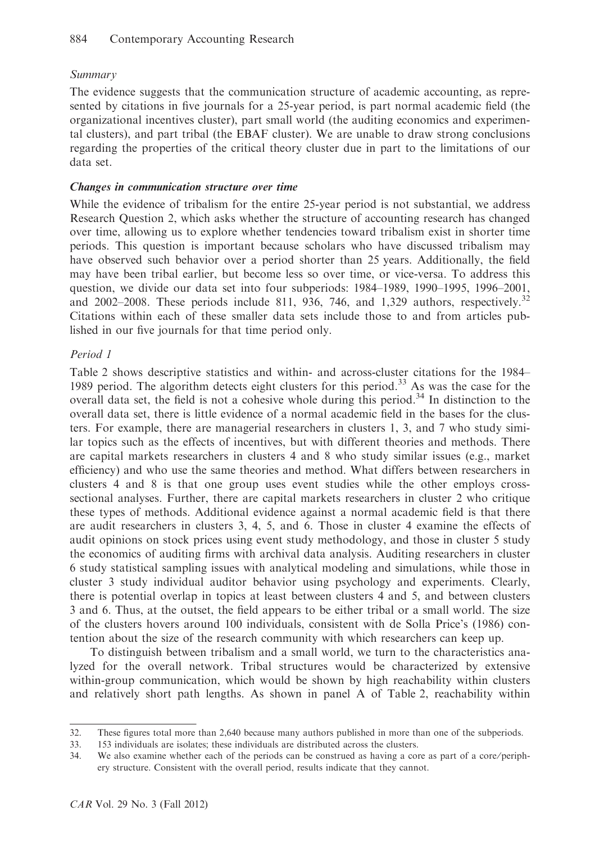## Summary

The evidence suggests that the communication structure of academic accounting, as represented by citations in five journals for a 25-year period, is part normal academic field (the organizational incentives cluster), part small world (the auditing economics and experimental clusters), and part tribal (the EBAF cluster). We are unable to draw strong conclusions regarding the properties of the critical theory cluster due in part to the limitations of our data set.

## Changes in communication structure over time

While the evidence of tribalism for the entire 25-year period is not substantial, we address Research Question 2, which asks whether the structure of accounting research has changed over time, allowing us to explore whether tendencies toward tribalism exist in shorter time periods. This question is important because scholars who have discussed tribalism may have observed such behavior over a period shorter than 25 years. Additionally, the field may have been tribal earlier, but become less so over time, or vice-versa. To address this question, we divide our data set into four subperiods: 1984–1989, 1990–1995, 1996–2001, and 2002–2008. These periods include 811, 936, 746, and 1,329 authors, respectively.<sup>32</sup> Citations within each of these smaller data sets include those to and from articles published in our five journals for that time period only.

## Period 1

Table 2 shows descriptive statistics and within- and across-cluster citations for the 1984– 1989 period. The algorithm detects eight clusters for this period.<sup>33</sup> As was the case for the overall data set, the field is not a cohesive whole during this period.<sup>34</sup> In distinction to the overall data set, there is little evidence of a normal academic field in the bases for the clusters. For example, there are managerial researchers in clusters 1, 3, and 7 who study similar topics such as the effects of incentives, but with different theories and methods. There are capital markets researchers in clusters 4 and 8 who study similar issues (e.g., market efficiency) and who use the same theories and method. What differs between researchers in clusters 4 and 8 is that one group uses event studies while the other employs crosssectional analyses. Further, there are capital markets researchers in cluster 2 who critique these types of methods. Additional evidence against a normal academic field is that there are audit researchers in clusters 3, 4, 5, and 6. Those in cluster 4 examine the effects of audit opinions on stock prices using event study methodology, and those in cluster 5 study the economics of auditing firms with archival data analysis. Auditing researchers in cluster 6 study statistical sampling issues with analytical modeling and simulations, while those in cluster 3 study individual auditor behavior using psychology and experiments. Clearly, there is potential overlap in topics at least between clusters 4 and 5, and between clusters 3 and 6. Thus, at the outset, the field appears to be either tribal or a small world. The size of the clusters hovers around 100 individuals, consistent with de Solla Price's (1986) contention about the size of the research community with which researchers can keep up.

To distinguish between tribalism and a small world, we turn to the characteristics analyzed for the overall network. Tribal structures would be characterized by extensive within-group communication, which would be shown by high reachability within clusters and relatively short path lengths. As shown in panel A of Table 2, reachability within

<sup>32.</sup> These figures total more than 2,640 because many authors published in more than one of the subperiods.

<sup>33. 153</sup> individuals are isolates; these individuals are distributed across the clusters.

<sup>34.</sup> We also examine whether each of the periods can be construed as having a core as part of a core ⁄ periphery structure. Consistent with the overall period, results indicate that they cannot.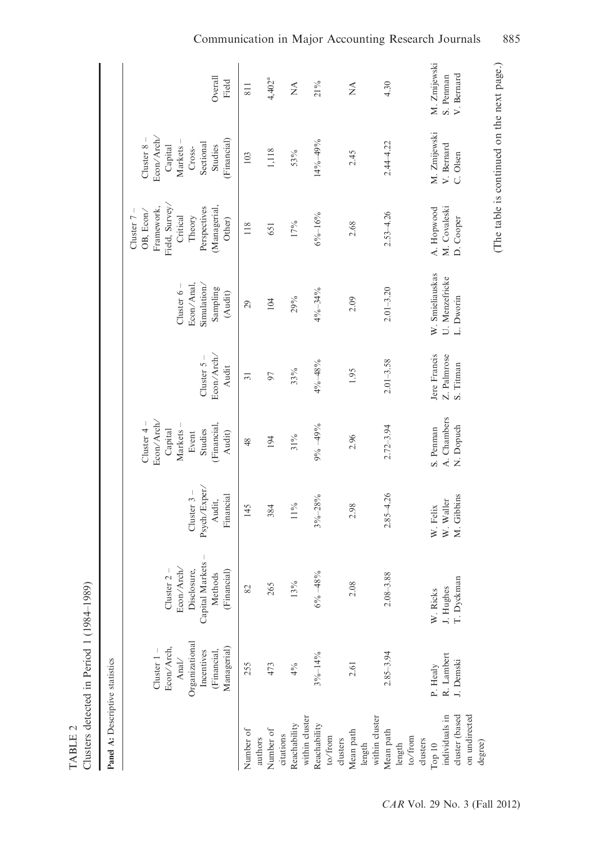| Panel A: Descriptive statistics                                          |                                                                                                       |                                                                                         |                                                      |                                                                                                  |                                          |                                                                   |                                                                                                                        |                                                                                                 |                                         |
|--------------------------------------------------------------------------|-------------------------------------------------------------------------------------------------------|-----------------------------------------------------------------------------------------|------------------------------------------------------|--------------------------------------------------------------------------------------------------|------------------------------------------|-------------------------------------------------------------------|------------------------------------------------------------------------------------------------------------------------|-------------------------------------------------------------------------------------------------|-----------------------------------------|
|                                                                          | Organizational<br>Econ/Arch,<br>Managerial)<br>$7$ luster $1 -$<br>Incentives<br>(Financial,<br>Anal/ | Capital Markets<br>Econ/Arch/<br>Cluster $2 -$<br>Disclosure,<br>(Financial)<br>Methods | Psych/Exper/<br>Cluster $3 -$<br>Financial<br>Audit, | Econ/Arch/<br>Cluster $4 -$<br>(Financial,<br>Markets -<br>Capital<br>Studies<br>Audit)<br>Event | Econ/Arch/<br>Cluster $5 -$<br>Audit     | Econ/Anal,<br>Cluster $6 -$<br>Simulation/<br>Sampling<br>(Audit) | Field, Survey.<br>(Managerial,<br>Framework,<br>Perspectives<br>OB, Econ/<br>Critical<br>Cluster 7<br>Theory<br>Other) | Econ/Arch/<br>(Financial)<br>Markets-<br>Sectional<br>Cluster 8<br>Capital<br>Studies<br>Cross- | Overall<br>Field                        |
| Number of                                                                | 255                                                                                                   | 82                                                                                      | 145                                                  | 48                                                                                               | $\overline{5}$                           | 29                                                                | 118                                                                                                                    | 103                                                                                             | $\overline{8}$                          |
| Number of<br>citations<br>authors                                        | 473                                                                                                   | 265                                                                                     | 384                                                  | 194                                                                                              | 97                                       | 104                                                               | 651                                                                                                                    | 1,118                                                                                           | $4,402^a$                               |
| within cluster<br>Reachability                                           | $4\%$                                                                                                 | 13%                                                                                     | $11\%$                                               | 31%                                                                                              | 33%                                      | 29%                                                               | $17\%$                                                                                                                 | 53%                                                                                             | $\mathbb{X}^{\mathsf{A}}$               |
| Reachability                                                             | $3\% - 14\%$                                                                                          | $6\% -48\%$                                                                             | $3\% - 28\%$                                         | $9\% -49\%$                                                                                      | $4\% - 48\%$                             | $4\% - 34\%$                                                      | $6\% - 16\%$                                                                                                           | 14%-49%                                                                                         | $21\%$                                  |
| within cluster<br>Mean path<br>to/from<br>clusters<br>length             | 2.61                                                                                                  | 2.08                                                                                    | 2.98                                                 | 2.96                                                                                             | 1.95                                     | 2.09                                                              | 2.68                                                                                                                   | 2.45                                                                                            | $\mathop{\leq}_{\mathop{\bf Z}}$        |
| Mean path<br>to/from<br>clusters<br>length                               | $2.85 - 3.94$                                                                                         | $2.08 - 3.88$                                                                           | $2.85 - 4.26$                                        | $2.72 - 3.94$                                                                                    | $2.01 - 3.58$                            | $2.01 - 3.20$                                                     | $2.53 - 4.26$                                                                                                          | $2.44 - 4.22$                                                                                   | 4.30                                    |
| on undirected<br>individuals in<br>cluster (based<br>degree)<br>Top $10$ | R. Lambert<br>J. Denski<br>P. Healy                                                                   | T. Dyckman<br>J. Hughes<br>W. Ricks                                                     | M. Gibbins<br>W. Waller<br>W. Felix                  | A. Chambers<br>N. Dopuch<br>S. Penman                                                            | Jere Francis<br>Z. Palmrose<br>S. Titman | W. Smieliauskas<br>U. Menzefricke<br>L. Dworin                    | A. Hopwood<br>M. Covaleski<br>D. Cooper                                                                                | M. Zmijewski<br>V. Bernard<br>C. Olsen                                                          | M. Zmijewski<br>V. Bernard<br>S. Penman |
|                                                                          |                                                                                                       |                                                                                         |                                                      |                                                                                                  |                                          |                                                                   |                                                                                                                        | (The table is continued on the next page.)                                                      |                                         |

Clusters detected in Period 1 (1984-1989) Clusters detected in Period 1 (1984–1989) TABLE 2 TABLE 2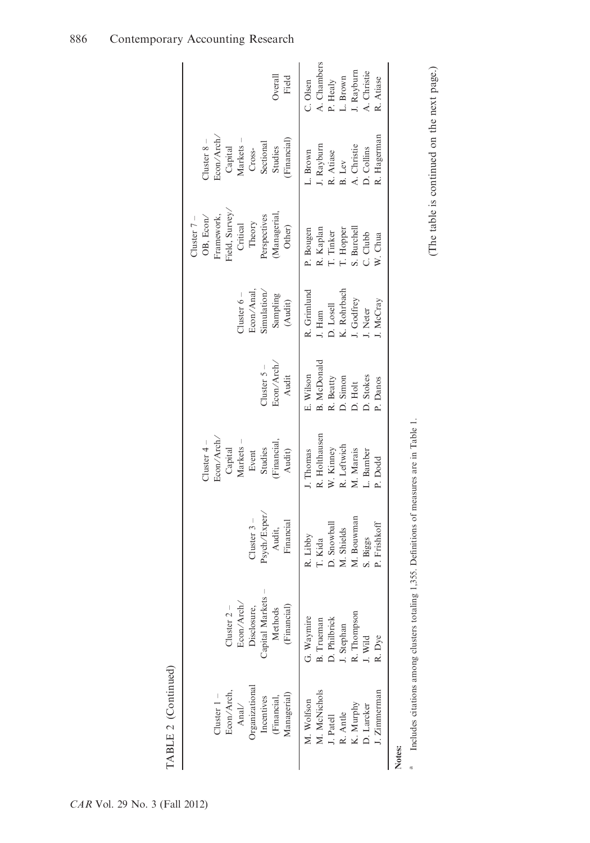| <b>Scon/Arch</b><br>Markets –<br>Cross-<br>Financial)<br>$Juster 8 -$<br>Sectional<br>I. Rayburn<br>A. Christie<br>Studies<br>Capital<br>D. Collins<br>Brown<br>R. Atiase<br>B. Lev<br>ield, Survey,<br>(Managerial<br>Perspectives<br>Framework,<br>OB, Econ/<br>Theory<br>Critical<br>Other)<br>R. Kaplan<br>T. Tinker<br>S. Burchell<br>T. Hopper<br>P. Bougen<br>C. Clubb<br>W. Chua<br>J. Ham<br>D. Losell<br>K. Rohrbach<br>J. Godfrey<br>R. Grimlund<br>Simulation/<br>Econ/Anal<br>$2$ luster $6 -$<br>Sampling<br>(Audit)<br>I. Neter<br>Econ/Arch/<br>B. McDonald<br>$2$ luster $5 -$<br>E. Wilson<br>Audit<br>R. Beatty<br>D. Simon<br>D. Stokes<br>P. Danos<br>D. Holt<br>R. Holthausen<br>Econ/Arch<br>${\rm Capital} \atop {\rm Markets} -$<br>Juster 4 –<br>(Financial<br>R. Leftwich<br>Studies<br>J. Thomas<br>W. Kinney<br>M. Marais<br>Audit)<br>Event<br>L. Bamber<br>P. Dodd<br>Psych/Exper/<br>M. Bouwman<br>Cluster $3 -$<br>Financial<br>P. Frishkoff<br>D. Snowball<br>M. Shields<br>Audit,<br>R. Libby<br>I. Kida<br>S. Biggs<br>Capital Markets<br>Econ/Arch/<br>(Financial)<br>Disclosure,<br>Cluster $2 -$<br>Methods<br>R. Thompson<br>G. Waymire<br>D. Philbrick<br><b>B.</b> Trueman<br>J. Stephan<br>J. Wild<br>R. Dye<br>Organizational<br>M. McNichols<br>Econ/Arch,<br>J. Zimmerman<br>Managerial)<br>$2$ luster $1 -$<br>Incentives<br>(Financial,<br>M. Wolfson<br>K. Murphy<br>D. Larcker<br>Anal/<br>R. Antle<br>J. Patell |  |  |          | $2$ luster $7 -$ |             |                |
|--------------------------------------------------------------------------------------------------------------------------------------------------------------------------------------------------------------------------------------------------------------------------------------------------------------------------------------------------------------------------------------------------------------------------------------------------------------------------------------------------------------------------------------------------------------------------------------------------------------------------------------------------------------------------------------------------------------------------------------------------------------------------------------------------------------------------------------------------------------------------------------------------------------------------------------------------------------------------------------------------------------------------------------------------------------------------------------------------------------------------------------------------------------------------------------------------------------------------------------------------------------------------------------------------------------------------------------------------------------------------------------------------------------------------------------------------------------------|--|--|----------|------------------|-------------|----------------|
|                                                                                                                                                                                                                                                                                                                                                                                                                                                                                                                                                                                                                                                                                                                                                                                                                                                                                                                                                                                                                                                                                                                                                                                                                                                                                                                                                                                                                                                                    |  |  |          |                  |             |                |
|                                                                                                                                                                                                                                                                                                                                                                                                                                                                                                                                                                                                                                                                                                                                                                                                                                                                                                                                                                                                                                                                                                                                                                                                                                                                                                                                                                                                                                                                    |  |  |          |                  |             |                |
|                                                                                                                                                                                                                                                                                                                                                                                                                                                                                                                                                                                                                                                                                                                                                                                                                                                                                                                                                                                                                                                                                                                                                                                                                                                                                                                                                                                                                                                                    |  |  |          |                  |             |                |
|                                                                                                                                                                                                                                                                                                                                                                                                                                                                                                                                                                                                                                                                                                                                                                                                                                                                                                                                                                                                                                                                                                                                                                                                                                                                                                                                                                                                                                                                    |  |  |          |                  |             |                |
|                                                                                                                                                                                                                                                                                                                                                                                                                                                                                                                                                                                                                                                                                                                                                                                                                                                                                                                                                                                                                                                                                                                                                                                                                                                                                                                                                                                                                                                                    |  |  |          |                  |             |                |
|                                                                                                                                                                                                                                                                                                                                                                                                                                                                                                                                                                                                                                                                                                                                                                                                                                                                                                                                                                                                                                                                                                                                                                                                                                                                                                                                                                                                                                                                    |  |  |          |                  |             |                |
|                                                                                                                                                                                                                                                                                                                                                                                                                                                                                                                                                                                                                                                                                                                                                                                                                                                                                                                                                                                                                                                                                                                                                                                                                                                                                                                                                                                                                                                                    |  |  |          |                  |             | <b>Dverall</b> |
|                                                                                                                                                                                                                                                                                                                                                                                                                                                                                                                                                                                                                                                                                                                                                                                                                                                                                                                                                                                                                                                                                                                                                                                                                                                                                                                                                                                                                                                                    |  |  |          |                  |             | Field          |
|                                                                                                                                                                                                                                                                                                                                                                                                                                                                                                                                                                                                                                                                                                                                                                                                                                                                                                                                                                                                                                                                                                                                                                                                                                                                                                                                                                                                                                                                    |  |  |          |                  |             | C. Olsen       |
|                                                                                                                                                                                                                                                                                                                                                                                                                                                                                                                                                                                                                                                                                                                                                                                                                                                                                                                                                                                                                                                                                                                                                                                                                                                                                                                                                                                                                                                                    |  |  |          |                  |             | Chambers       |
|                                                                                                                                                                                                                                                                                                                                                                                                                                                                                                                                                                                                                                                                                                                                                                                                                                                                                                                                                                                                                                                                                                                                                                                                                                                                                                                                                                                                                                                                    |  |  |          |                  |             | P. Healy       |
|                                                                                                                                                                                                                                                                                                                                                                                                                                                                                                                                                                                                                                                                                                                                                                                                                                                                                                                                                                                                                                                                                                                                                                                                                                                                                                                                                                                                                                                                    |  |  |          |                  |             | Brown          |
|                                                                                                                                                                                                                                                                                                                                                                                                                                                                                                                                                                                                                                                                                                                                                                                                                                                                                                                                                                                                                                                                                                                                                                                                                                                                                                                                                                                                                                                                    |  |  |          |                  |             | . Rayburn      |
|                                                                                                                                                                                                                                                                                                                                                                                                                                                                                                                                                                                                                                                                                                                                                                                                                                                                                                                                                                                                                                                                                                                                                                                                                                                                                                                                                                                                                                                                    |  |  |          |                  |             | A. Christie    |
|                                                                                                                                                                                                                                                                                                                                                                                                                                                                                                                                                                                                                                                                                                                                                                                                                                                                                                                                                                                                                                                                                                                                                                                                                                                                                                                                                                                                                                                                    |  |  | . McCray |                  | R. Hagerman | R. Atiase      |

Includes citations among clusters totaling 1,355. Definitions of measures are in Table 1. Includes citations among clusters totaling 1,355. Definitions of measures are in Table 1.

(The table is continued on the next page.) (The table is continued on the next page.)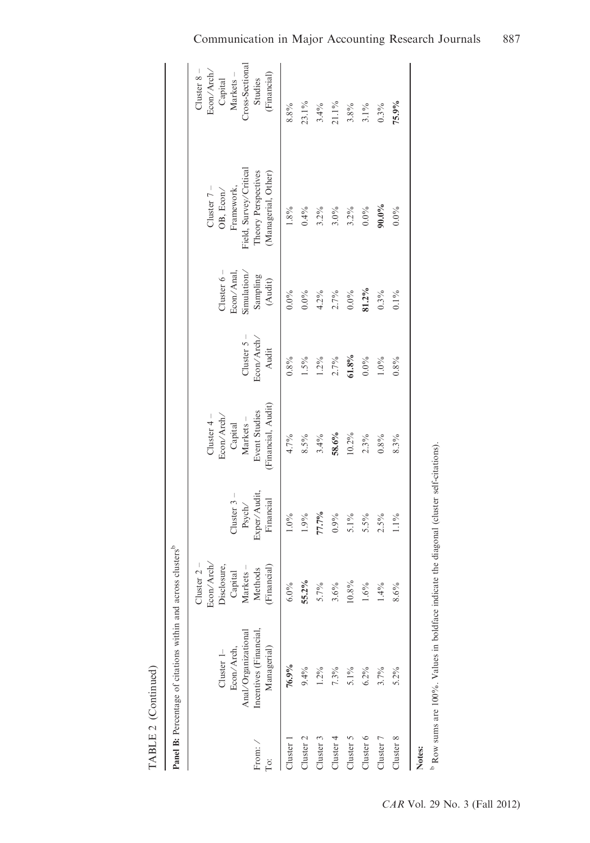|                |                       | Cluster $2 -$ |               |                      |               |                  |                        | Cluster $8 -$   |
|----------------|-----------------------|---------------|---------------|----------------------|---------------|------------------|------------------------|-----------------|
|                |                       | Econ/Arch/    |               | Cluster $4 -$        |               |                  | Cluster $7 -$          | Econ/Arch/      |
|                | Cluster 1-            | Disclosure,   |               | Econ/Arch/           |               | Cluster $6-$     | OB, Econ/              | Capital         |
|                | Econ/Arch,            | Capital       | $Cluster 3 -$ | Capital              |               | <b>Zcon/Anal</b> | Framework,             | $Markets -$     |
|                | Anal/Organizational   | Markets -     | Psych/        | $\mathbf{Markets}$ – | Cluster $5 -$ | Simulation/      | Field, Survey/Critical | Cross-Sectional |
| From:          | Incentives (Financial | Methods       | Exper/Audit   | Event Studies        | Econ/Arch/    | Sampling         | Theory Perspectives    | Studies         |
| $\ddot{\circ}$ | Managerial)           | (Financial)   | Financial     | (Financial, Audit)   | Audit         | (Audit)          | (Managerial, Other)    | (Financial)     |
| Cluster        | 76.9%                 | $6.0\%$       | $1.0\%$       | $4.7\%$              | $0.8\%$       | $0.0\%$          | $1.8\%$                | 8.8%            |
| Cluster 2      | $9.4\%$               | 55.2%         | $1.9\%$       | $8.5\%$              | $1.5\%$       | $0.0\%$          | 0.4%                   | $23.1\%$        |
| Cluster 3      | $1.2\%$               | 5.7%          | 77.7%         | 3.4%                 | $1.2\%$       | $4.2\%$          | $3.2\%$                | 3.4%            |
| Cluster 4      | $7.3\%$               | 3.6%          | $0.9\%$       | 58.6%                | $2.7\%$       | $2.7\%$          | $3.0\%$                | $21.1\%$        |
| Cluster 5      | 5.1%                  | $10.8\%$      | 5.1%          | $10.2\%$             | 61.8%         | $0.0\%$          | $3.2\%$                | $3.8\%$         |
| Cluster 6      | $6.2\%$               | $1.6\%$       | 5.5%          | $2.3\%$              | $0.0\%$       | 81.2%            | $0.0\%$                | $3.1\%$         |
| Cluster 7      | 3.7%                  | 1.4%          | $2.5\%$       | $0.8\%$              | $1.0\%$       | $0.3\%$          | $90.0\%$               | $0.3\%$         |
| Cluster 8      | $5.2\%$               | $8.6^\circ$   | $1.1\%$       | 8.3%                 | $0.8\%$       | $0.1\%$          | $0.0\%$                | 75.9%           |

TABLE 2 (Continued) TABLE 2 (Continued)

<sup>b</sup> Row sums are 100%. Values in boldface indicate the diagonal (cluster self-citations). Row sums are 100%. Values in boldface indicate the diagonal (cluster self-citations).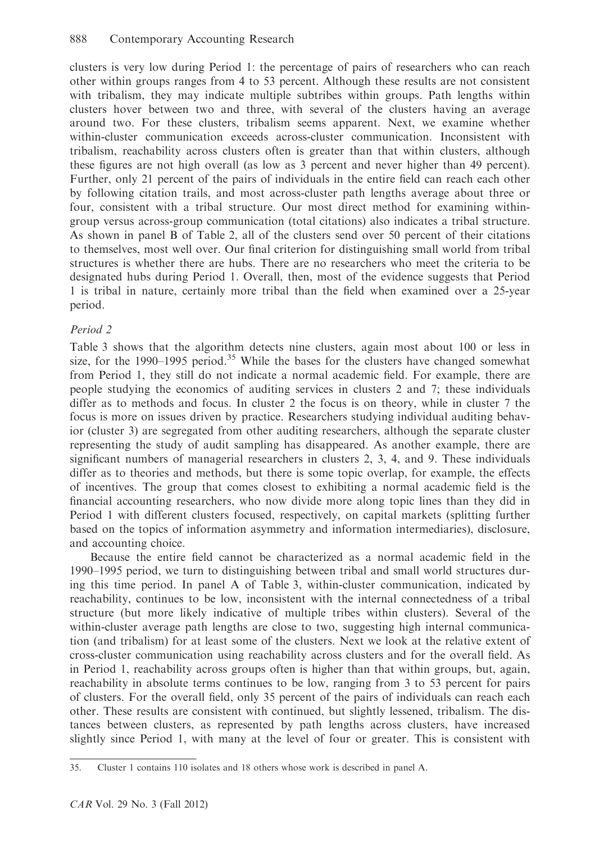clusters is very low during Period 1: the percentage of pairs of researchers who can reach other within groups ranges from 4 to 53 percent. Although these results are not consistent with tribalism, they may indicate multiple subtribes within groups. Path lengths within clusters hover between two and three, with several of the clusters having an average around two. For these clusters, tribalism seems apparent. Next, we examine whether within-cluster communication exceeds across-cluster communication. Inconsistent with tribalism, reachability across clusters often is greater than that within clusters, although these figures are not high overall (as low as 3 percent and never higher than 49 percent). Further, only 21 percent of the pairs of individuals in the entire field can reach each other by following citation trails, and most across-cluster path lengths average about three or four, consistent with a tribal structure. Our most direct method for examining withingroup versus across-group communication (total citations) also indicates a tribal structure. As shown in panel B of Table 2, all of the clusters send over 50 percent of their citations to themselves, most well over. Our final criterion for distinguishing small world from tribal structures is whether there are hubs. There are no researchers who meet the criteria to be designated hubs during Period 1. Overall, then, most of the evidence suggests that Period 1 is tribal in nature, certainly more tribal than the field when examined over a 25-year period.

## Period 2

Table 3 shows that the algorithm detects nine clusters, again most about 100 or less in size, for the 1990–1995 period.<sup>35</sup> While the bases for the clusters have changed somewhat from Period 1, they still do not indicate a normal academic field. For example, there are people studying the economics of auditing services in clusters 2 and 7; these individuals differ as to methods and focus. In cluster 2 the focus is on theory, while in cluster 7 the focus is more on issues driven by practice. Researchers studying individual auditing behavior (cluster 3) are segregated from other auditing researchers, although the separate cluster representing the study of audit sampling has disappeared. As another example, there are significant numbers of managerial researchers in clusters 2, 3, 4, and 9. These individuals differ as to theories and methods, but there is some topic overlap, for example, the effects of incentives. The group that comes closest to exhibiting a normal academic field is the financial accounting researchers, who now divide more along topic lines than they did in Period 1 with different clusters focused, respectively, on capital markets (splitting further based on the topics of information asymmetry and information intermediaries), disclosure, and accounting choice.

Because the entire field cannot be characterized as a normal academic field in the 1990–1995 period, we turn to distinguishing between tribal and small world structures during this time period. In panel A of Table 3, within-cluster communication, indicated by reachability, continues to be low, inconsistent with the internal connectedness of a tribal structure (but more likely indicative of multiple tribes within clusters). Several of the within-cluster average path lengths are close to two, suggesting high internal communication (and tribalism) for at least some of the clusters. Next we look at the relative extent of cross-cluster communication using reachability across clusters and for the overall field. As in Period 1, reachability across groups often is higher than that within groups, but, again, reachability in absolute terms continues to be low, ranging from 3 to 53 percent for pairs of clusters. For the overall field, only 35 percent of the pairs of individuals can reach each other. These results are consistent with continued, but slightly lessened, tribalism. The distances between clusters, as represented by path lengths across clusters, have increased slightly since Period 1, with many at the level of four or greater. This is consistent with

<sup>35.</sup> Cluster 1 contains 110 isolates and 18 others whose work is described in panel A.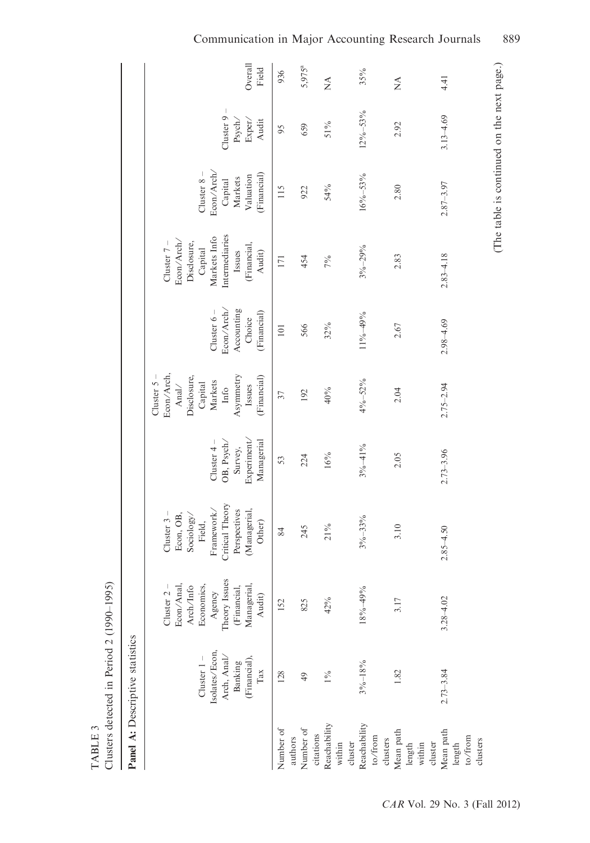|                                                                     |                                                          | Econ/Anal,<br>Arch/Info<br>Economies,<br>Cluster $2 -$ | Cluster $3 -$<br>Sociology/<br>Econ, OB, |                        | Econ/Arch,<br>$Cluster 5 -$<br>Disclosure,<br>Anal/ |                      | 3con/Arch/<br>$Cluster 7 -$<br>Disclosure, |               |                                 |                             |
|---------------------------------------------------------------------|----------------------------------------------------------|--------------------------------------------------------|------------------------------------------|------------------------|-----------------------------------------------------|----------------------|--------------------------------------------|---------------|---------------------------------|-----------------------------|
|                                                                     | Cluster $1 -$                                            |                                                        | Framework/<br>Field,                     | Cluster $4 -$          | ${\rm Capital} \atop {\rm Markets}$ Markets         | Cluster $6 -$        | Markets Info<br>Capital                    |               | Econ/Arch/<br>$Cluster 8 -$     |                             |
|                                                                     |                                                          | ${\bf Agency} \\ Theory \mbox{ Isues}$                 | Critical Theory                          | OB, Psych/             |                                                     | Econ/Arch/           | Intermediaries                             |               | Capital<br>Markets<br>Valuation | $2$ luster $9$              |
|                                                                     | Isolates/Econ,<br>Arch, Anal/<br>Banking<br>(Financial), | (Financial,<br>Managerial,                             | (Managerial,<br>Perspectives             | Experiment/<br>Survey, | Asymmetry<br>Issues                                 | Accounting<br>Choice | Issues<br>(Financial,                      |               |                                 | ${\rm Psych}/ {\rm Exper}/$ |
|                                                                     | $\operatorname{Tax}$                                     | Audit)                                                 | Other)                                   | Managerial             | (Financial)                                         | (Financial)          | Audit)                                     |               | Financial)                      | Audit                       |
| Number of                                                           | 128                                                      | 152                                                    | 84                                       | 53                     | 37                                                  | $\overline{101}$     | 171                                        |               | 115                             | 95                          |
| authors<br>Number of                                                | 49                                                       | 825                                                    | 245                                      | 224                    | 192                                                 | 566                  | 454                                        | 922           |                                 | 659                         |
| citations<br>Reachability<br>within                                 | $1\%$                                                    | 42%                                                    | $21\%$                                   | $16\%$                 | 40%                                                 | 32%                  | $7\%$                                      | $54\%$        |                                 | 51%                         |
| cluster<br>Reachability                                             | $3\% - 18\%$                                             | $18% - 49%$                                            | $3\% - 33\%$                             | $3\% - 41\%$           | $4\% - 52\%$                                        | $11\% - 49\%$        | $3\% - 29\%$                               | $16\% - 53\%$ |                                 | $12\% - 53\%$               |
| Mean path<br>length<br>within<br>cluster<br>$to/from$ clusters $\,$ | 1.82                                                     | 3.17                                                   | 3.10                                     | 2.05                   | 2.04                                                | 2.67                 | 2.83                                       | 2.80          |                                 | 2.92                        |
| Mean path<br>length<br>$to/from$                                    | $2.73 - 3.84$                                            | $3.28 - 4.02$                                          | $2.85 - 4.50$                            | $2.73 - 3.96$          | $2.75 - 2.94$                                       | $2.98 - 4.69$        | $2.83 - 4.18$                              | $2.87 - 3.97$ |                                 | $3.13 - 4.69$               |
| clusters                                                            |                                                          |                                                        |                                          |                        |                                                     |                      |                                            |               |                                 |                             |

Clusters detected in Period 2 (1990-1995) Clusters detected in Period 2 (1990–1995) TABLE 3 TABLE 3

Panel A: Descriptive statistics Panel A: Descriptive statistics H

(The table is continued on the next page.)

(The table is continued on the next page.)

CAR Vol. 29 No. 3 (Fall 2012)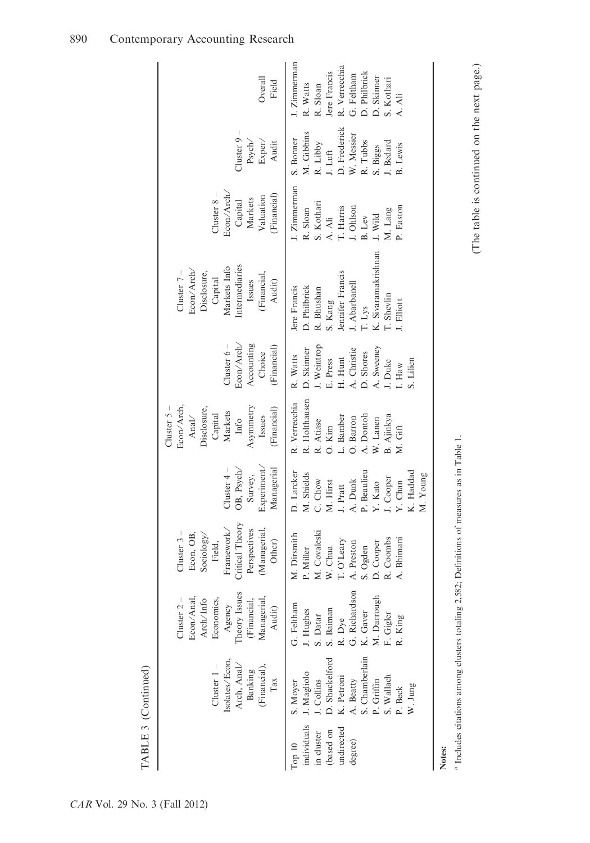|                                                                             | TABLE 3 (Continued)                                                                                                                                    |                                                                                                                                |                                                                                                                                     |                                                                                                                                                   |                                                                                                                                                                           |                                                                                                                                          |                                                                                                                                                         |                                                                                                                         |                                                                                                                                      |                                                                                                                                          |
|-----------------------------------------------------------------------------|--------------------------------------------------------------------------------------------------------------------------------------------------------|--------------------------------------------------------------------------------------------------------------------------------|-------------------------------------------------------------------------------------------------------------------------------------|---------------------------------------------------------------------------------------------------------------------------------------------------|---------------------------------------------------------------------------------------------------------------------------------------------------------------------------|------------------------------------------------------------------------------------------------------------------------------------------|---------------------------------------------------------------------------------------------------------------------------------------------------------|-------------------------------------------------------------------------------------------------------------------------|--------------------------------------------------------------------------------------------------------------------------------------|------------------------------------------------------------------------------------------------------------------------------------------|
|                                                                             | Isolates/Econ.<br>Arch, Anal/<br>$7$ luster $1 -$<br>(Financial),<br>Banking<br>Tax                                                                    | Theory Issues<br>Econ/Anal,<br>Economics,<br>Managerial<br>Arch/Info<br>Cluster $2 -$<br>(Financial,<br>Agency<br>Audit)       | Critical Theory<br>Perspectives<br>Framework/<br>(Managerial,<br>Cluster $3 -$<br>Sociology/<br>Econ, OB,<br>Other)<br>Field,       | Managerial<br>Cluster $4 -$<br>Experiment.<br>OB, Psych<br>Survey,                                                                                | Econ/Arch,<br>$2$ luster $5 -$<br>Asymmetry<br>(Financial)<br>Disclosure,<br>Markets<br>Capital<br>Issues<br>$\mbox{{\sc And}}\!\!\!\!/\,$<br>$\mathop{\rm Inf}\nolimits$ | Econ/Arch<br>Accounting<br>$2$ luster $6 -$<br>Financial)<br>Choice                                                                      | Intermediaries<br>Markets Info<br>3con/Arch/<br>Cluster $7 -$<br>Disclosure,<br>(Financial<br>Capital<br>Issues<br>Audit)                               | $2$ luster $8 -$<br>Econ/Arch<br>Financial)<br>Valuation<br>Markets<br>Capital                                          | Cluster 9<br>Exper/<br>Psych/<br>Audit                                                                                               | Overall<br>Field                                                                                                                         |
| individuals<br>undirected<br>in cluster<br>(based on<br>degree)<br>Top $10$ | S. Chamberlain<br>D. Shackelford<br>J. Magliolo<br>K. Petroni<br>S. Wallach<br>J. Collins<br>A. Beatty<br>P. Griffin<br>S. Moyer<br>W. Jung<br>P. Beck | G. Richardson<br>M. Darrough<br>G. Feltham<br>J. Hughes<br>S. Baiman<br>K. Gaver<br>S. Datar<br>F. Gigler<br>R. King<br>R. Dye | M. Covaleski<br>M. Dirsmith<br>R. Coombs<br>A. Bhimani<br>T. O'Leary<br>A. Preston<br>D. Cooper<br>S. Ogden<br>W. Chua<br>P. Miller | A. Dunk<br>P. Beaulieu<br>Y. Kato<br>D. Larcker<br>M. Shields<br>C. Chow<br>M. Hirst<br>K. Haddac<br>M. Young<br>J. Cooper<br>Y. Chan<br>J. Pratt | R. Holthausen<br>R. Atiase<br>O. Kim<br>C. Bamber<br>C. Bamber<br>O. Barron<br>A. Dontoh<br>A. Dontoh<br>R. Verrecchia<br>B. Ajinkya<br>M. Gift                           | D. Skinner<br>J. Weintrop<br>D. Shores<br>A. Sweeney<br>H. Hunt<br>A. Christie<br>R. Watts<br>E. Press<br>J. Duke<br>S. Lilier<br>l. Haw | T. Lys<br>K. Sivaramakrishnan<br>Jennifer Francis<br>J. Abarbanell<br>D. Philbrick<br>Jere Francis<br>R. Bhushan<br>I. Shevlin<br>S. Kang<br>J. Elliott | J. Zimmerman<br>R. Sloan<br>S. Kothari<br>A. Ali<br>T. Harris<br>P. Easton<br>J. Ohlson<br>M. Lang<br>B. Lev<br>J. Wild | D. Frederick<br>M. Gibbins<br>W. Messier<br>R. Tubbs<br>S. Biggs<br>J. Bedard<br>S. Bonner<br>R. Libby<br><b>B.</b> Lewis<br>J. Luft | . Zimmerman<br>R. Verrecchia<br>R. Watts<br>R. Sloan<br>Jere Francis<br>G. Feltham<br>D. Philbrick<br>D. Skinner<br>S. Kothari<br>A. Ali |
| Notes:                                                                      |                                                                                                                                                        |                                                                                                                                |                                                                                                                                     |                                                                                                                                                   |                                                                                                                                                                           |                                                                                                                                          |                                                                                                                                                         |                                                                                                                         |                                                                                                                                      |                                                                                                                                          |

<sup>a</sup> Includes citations among clusters totaling 2,582; Definitions of measures as in Table 1. Includes citations among clusters totaling 2,582; Definitions of measures as in Table 1.

(The table is continued on the next page.)

(The table is continued on the next page.)

CAR Vol. 29 No. 3 (Fall 2012)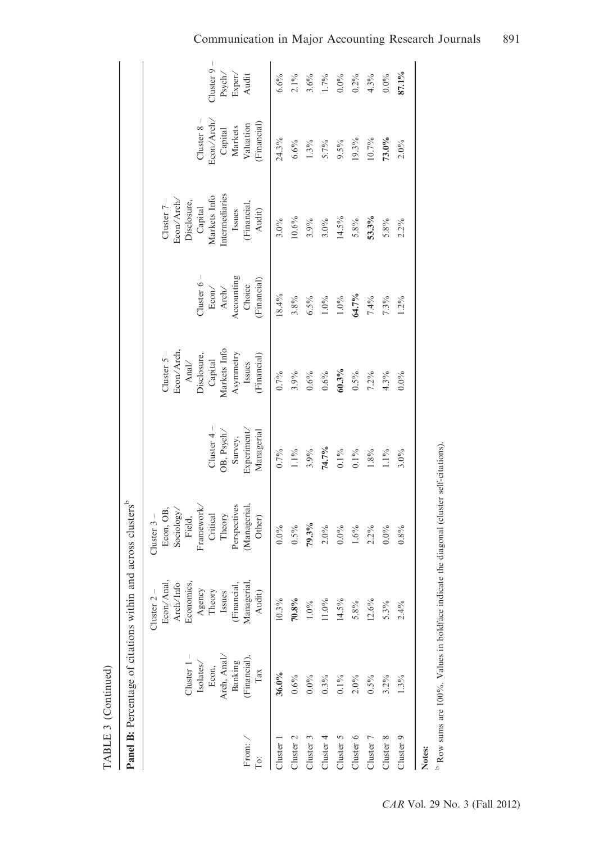|           |             | Panel B: Percentage of citations within and across clusters <sup>b</sup> |                  |               |               |             |                |                    |                                                                                   |
|-----------|-------------|--------------------------------------------------------------------------|------------------|---------------|---------------|-------------|----------------|--------------------|-----------------------------------------------------------------------------------|
|           |             | Cluster $2 -$                                                            | $2$ luster $3 -$ |               |               |             |                |                    |                                                                                   |
|           |             | Econ/Anal,                                                               | Econ, OB,        |               | Cluster $5 -$ |             | Cluster $7 -$  |                    |                                                                                   |
|           |             | Arch/Info                                                                | Sociology        |               | Econ/Arch     |             | Econ/Arch      |                    |                                                                                   |
|           | Cluster 1   | Economics,                                                               | Field,           |               | Anal/         |             | Disclosure,    |                    |                                                                                   |
|           | Isolates/   | Agency                                                                   | Framework        |               | Disclosure,   | Cluster 6   | Capital        | Cluster 8          |                                                                                   |
|           | Econ,       | Theory                                                                   | Critical         | Cluster $4 -$ | Capital       | Econ/       | Markets Info   | <b>Econ/Arch/</b>  | $7$ luster $9 -$                                                                  |
|           | Arch, Anal/ | Issues                                                                   | Theory           | OB, Psych/    | Markets Info  | Arch/ $\,$  | Intermediaries |                    |                                                                                   |
|           | Banking     | (Financial,                                                              | Perspectives     | Survey,       | Asymmetry     | Accounting  | Issues         | Capital<br>Markets | ${\begin{array}{c} \text{Psych} / \\ \text{Enper} / \\ \text{Audit} \end{array}}$ |
| From: /   | (Financial) | Managerial,                                                              | (Managerial,     | Experiment.   | Issues        | Choice      | (Financial,    | Valuation          |                                                                                   |
| Тo:       | Tax         | Audit)                                                                   | Other)           | Managerial    | (Financial)   | (Financial) | Audit)         | (Financial)        |                                                                                   |
| Cluster 1 | 36.0%       | $10.3\%$                                                                 | $0.0\%$          | $0.7\%$       | $0.7\%$       | 18.4%       | $3.0\%$        | $24.3\%$           | $6.6\%$                                                                           |
| Cluster 2 | $0.6\%$     | 70.8%                                                                    | $0.5\%$          | $1.1\%$       | $3.9\%$       | 3.8%        | $10.6\%$       | $6.6\%$            | $2.1\%$                                                                           |
| Cluster 3 | $0.0\%$     | $1.0\%$                                                                  | 79.3%            | 3.9%          | $0.6\%$       | $6.5\%$     | $3.9\%$        | $1.3\%$            | $3.6\%$                                                                           |
| Cluster 4 | $0.3\%$     | $1.0\%$                                                                  | $2.0\%$          | 74.7%         | $0.6\%$       | $1.0\%$     | $3.0\%$        | $5.7\%$            | $1.7\%$                                                                           |
| Cluster 5 | $0.1\%$     | 14.5%                                                                    | $0.0\%$          | $0.1\%$       | 60.3%         | $1.0\%$     | $14.5\%$       | $9.5\%$            | $0.0\%$                                                                           |
| Cluster 6 | $2.0\%$     | 5.8%                                                                     | $1.6\%$          | $0.1\%$       | $0.5\%$       | 64.7%       | $5.8\%$        | 19.3%              | $0.2\%$                                                                           |
| Cluster 7 | $0.5\%$     | $12.6\%$                                                                 | $2.2\%$          | $1.8\%$       | $7.2\%$       | 7.4%        | 53.3%          | 10.7%              | $4.3\%$                                                                           |
| Cluster 8 | $3.2\%$     | 5.3%                                                                     | $0.0\%$          | $1.1\%$       | $4.3\%$       | $7.3\%$     | $5.8\%$        | $73.0\%$           | $0.0\%$                                                                           |
| Cluster 9 | $1.3\%$     | $2.4\%$                                                                  | $0.8\%$          | $3.0\%$       | $0.0\%$       | $1.2\%$     | $2.2\%$        | $2.0\%$            | 87.1%                                                                             |
| Notes:    |             |                                                                          |                  |               |               |             |                |                    |                                                                                   |

<sup>b</sup> Row sums are 100%. Values in boldface indicate the diagonal (cluster self-citations). Row sums are 100%. Values in boldface indicate the diagonal (cluster self-citations).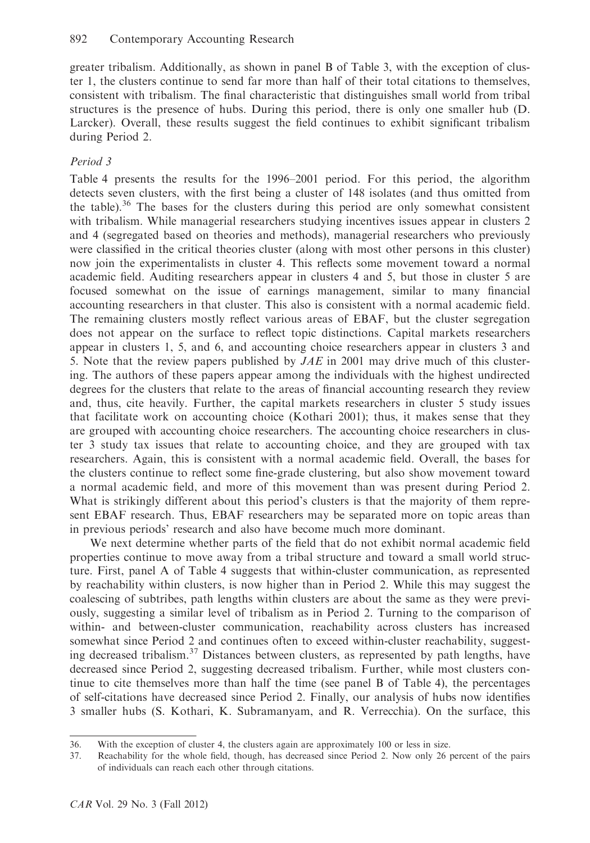greater tribalism. Additionally, as shown in panel B of Table 3, with the exception of cluster 1, the clusters continue to send far more than half of their total citations to themselves, consistent with tribalism. The final characteristic that distinguishes small world from tribal structures is the presence of hubs. During this period, there is only one smaller hub (D. Larcker). Overall, these results suggest the field continues to exhibit significant tribalism during Period 2.

## Period 3

Table 4 presents the results for the 1996–2001 period. For this period, the algorithm detects seven clusters, with the first being a cluster of 148 isolates (and thus omitted from the table).<sup>36</sup> The bases for the clusters during this period are only somewhat consistent with tribalism. While managerial researchers studying incentives issues appear in clusters 2 and 4 (segregated based on theories and methods), managerial researchers who previously were classified in the critical theories cluster (along with most other persons in this cluster) now join the experimentalists in cluster 4. This reflects some movement toward a normal academic field. Auditing researchers appear in clusters 4 and 5, but those in cluster 5 are focused somewhat on the issue of earnings management, similar to many financial accounting researchers in that cluster. This also is consistent with a normal academic field. The remaining clusters mostly reflect various areas of EBAF, but the cluster segregation does not appear on the surface to reflect topic distinctions. Capital markets researchers appear in clusters 1, 5, and 6, and accounting choice researchers appear in clusters 3 and 5. Note that the review papers published by  $JAE$  in 2001 may drive much of this clustering. The authors of these papers appear among the individuals with the highest undirected degrees for the clusters that relate to the areas of financial accounting research they review and, thus, cite heavily. Further, the capital markets researchers in cluster 5 study issues that facilitate work on accounting choice (Kothari 2001); thus, it makes sense that they are grouped with accounting choice researchers. The accounting choice researchers in cluster 3 study tax issues that relate to accounting choice, and they are grouped with tax researchers. Again, this is consistent with a normal academic field. Overall, the bases for the clusters continue to reflect some fine-grade clustering, but also show movement toward a normal academic field, and more of this movement than was present during Period 2. What is strikingly different about this period's clusters is that the majority of them represent EBAF research. Thus, EBAF researchers may be separated more on topic areas than in previous periods' research and also have become much more dominant.

We next determine whether parts of the field that do not exhibit normal academic field properties continue to move away from a tribal structure and toward a small world structure. First, panel A of Table 4 suggests that within-cluster communication, as represented by reachability within clusters, is now higher than in Period 2. While this may suggest the coalescing of subtribes, path lengths within clusters are about the same as they were previously, suggesting a similar level of tribalism as in Period 2. Turning to the comparison of within- and between-cluster communication, reachability across clusters has increased somewhat since Period 2 and continues often to exceed within-cluster reachability, suggesting decreased tribalism.<sup>37</sup> Distances between clusters, as represented by path lengths, have decreased since Period 2, suggesting decreased tribalism. Further, while most clusters continue to cite themselves more than half the time (see panel B of Table 4), the percentages of self-citations have decreased since Period 2. Finally, our analysis of hubs now identifies 3 smaller hubs (S. Kothari, K. Subramanyam, and R. Verrecchia). On the surface, this

<sup>36.</sup> With the exception of cluster 4, the clusters again are approximately 100 or less in size.

<sup>37.</sup> Reachability for the whole field, though, has decreased since Period 2. Now only 26 percent of the pairs of individuals can reach each other through citations.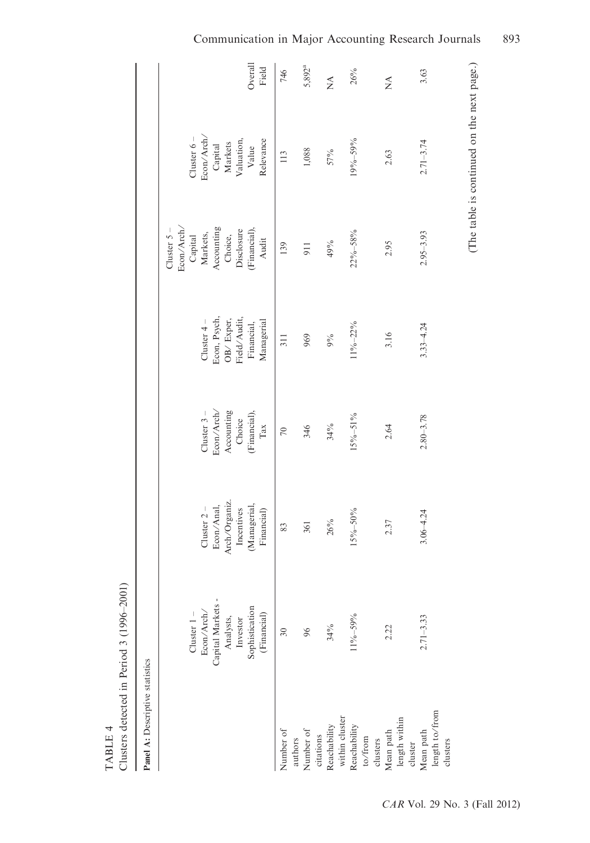|                          | Š<br>$\tilde{z}$          |
|--------------------------|---------------------------|
|                          | $\ddot{\phantom{0}}$<br>j |
|                          | .<br>≘.                   |
| ı                        | datantar                  |
| ī<br>$\overline{a}$<br>Ī |                           |

Panel A: Descriptive statistics Panel A: Descriptive statistics

| Overall<br>Field                                                                                                     | 746                  | $5,892^{a}$ | $\breve{\mathsf{z}}$ | 26%           | ≸                                                                                                                                       | 3.63                                    |
|----------------------------------------------------------------------------------------------------------------------|----------------------|-------------|----------------------|---------------|-----------------------------------------------------------------------------------------------------------------------------------------|-----------------------------------------|
| Econ/Arch/<br>Cluster $6 -$<br>Capital<br>Markets<br>Valuation,<br>Value<br>Relevance                                | 113                  | 1,088       | 57%                  | 19%-59%       | 2.63                                                                                                                                    | $2.71 - 3.74$                           |
| Accounting<br>Choice,<br>Econ/Arch/<br>Cluster $5 -$<br>(Financial),<br>Disclosure<br>Capital<br>Markets,<br>Audit   | 139                  | 911         | 49%                  | 22%-58%       | 2.95                                                                                                                                    | $2.95 - 3.93$                           |
| Econ, Psych,<br>OB/ Exper,<br>Field/Audit,<br>$\Box$ luster 4 –<br>Managerial<br>Financial,                          | 311                  | 969         | $9\%$                | $11\% - 22\%$ | 3.16                                                                                                                                    | $3.33 - 4.24$                           |
| Accounting<br>Choice<br>Econ/Arch/<br>(Financial),<br>Cluster $3 -$<br>$\operatorname{Tax}$                          | $\overline{70}$      | 346         | 34%                  | $15\% - 51\%$ | 2.64                                                                                                                                    | $2.80 - 3.78$                           |
| Arch/Organiz.<br>(Managerial,<br>Econ/Anal,<br>Incentives<br>Cluster $2 -$<br>Financial)                             | 83                   | 361         | 26%                  | $15\% - 50\%$ | 2.37                                                                                                                                    | $3.06 - 4.24$                           |
| Cluster 1 –<br>Econ/Arch/<br>Capital Markets -<br>Analysts,<br>Analysts,<br>Sophistication<br>$(\mathrm{Financial})$ |                      | 96          | $34\%$               | $10\% - 59\%$ | 2.22                                                                                                                                    | $2.71 - 3.33$                           |
|                                                                                                                      | Number of<br>authors | Number of   | citations            |               | Reachability<br>within cluster<br>Reachability<br>Reachability<br>to / form<br>Mean path<br>Mean path<br>length within<br>length within | length to/from<br>Mean path<br>clusters |

(The table is continued on the next page.)

(The table is continued on the next page.)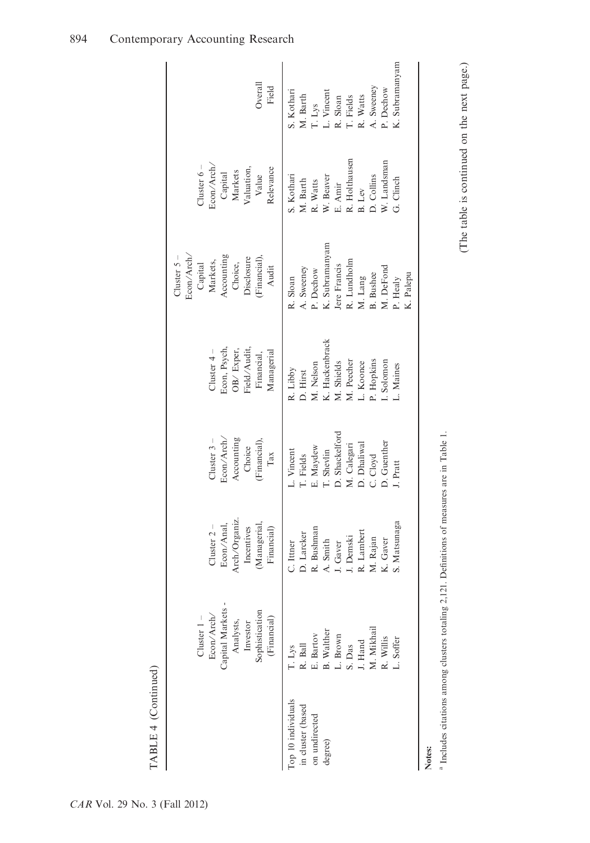| Notes:             |                                    |               |                                           |                |                          |                          |                                                           |
|--------------------|------------------------------------|---------------|-------------------------------------------|----------------|--------------------------|--------------------------|-----------------------------------------------------------|
|                    |                                    |               |                                           |                | Palepu                   |                          |                                                           |
|                    | L. Soffer                          | S. Matsunaga  | I. Pratt                                  | L. Maines      | P. Healy                 | G. Clinch                | K. Subramanyam                                            |
|                    | R. Willis                          | K. Gaver      |                                           | Solomon        | M. DeFond                | W. Landsman              | P. Dechow                                                 |
|                    | M. Mikhail                         | M. Rajan      | C. Cloyd<br>D. Guenther                   | P. Hopkins     | <b>B.</b> Bushee         | ). Collins               | A. Sweeney                                                |
|                    | . Hand                             | R. Lambert    |                                           | Koonce         | M. Lang                  | B. Lev                   |                                                           |
|                    | S. Das                             | I. Demski     | M. Calegari<br>D. Dhaliwal                | M. Peecher     | R. Lundholm              | R. Holthausen            |                                                           |
|                    | L. Brown                           | J. Gaver      |                                           | M. Shields     | Jere Francis             | E. Amir                  |                                                           |
| degree)            |                                    | A. Smith      | E. Maydew<br>T. Shevlin<br>D. Shackelford | K. Hackenbrack | Subramanyam              |                          | T. Lys<br>L. Vincent<br>R. Sloan<br>T. Fields<br>R. Watts |
| on undirected      |                                    | R. Bushman    |                                           | M. Nelson      |                          | R. Watts<br>W. Beaver    |                                                           |
| in cluster (based  | R. Ball<br>E. Bartov<br>B. Walther | D. Larcker    | T. Fields                                 | D. Hirst       | A. Sweeney<br>P. Dechow  | M. Barth                 | M. Barth                                                  |
| cop 10 individuals | I. Lys                             | C. Ittner     | Vincent                                   | R. Libby       | R. Sloan                 | . Kothari                | . Kothari                                                 |
|                    | (Financial)                        | Financial)    | $\operatorname{Tax}$                      | Managerial     | Audit                    | Relevance                | Field                                                     |
|                    | Sophistication                     | (Managerial   | Financial).                               | Financial,     | Financial),              | Value                    | Overal                                                    |
|                    | Investor                           | Incentives    | Choice                                    | Field/Audit    | <b>Disclosure</b>        | Valuation,               |                                                           |
|                    | Analysts,                          | Arch/Organiz  | Accounting                                | OB/Exper,      | Choice,                  | Markets                  |                                                           |
|                    | Capital Markets                    | Econ/Anal,    | Econ/Arch/                                | Econ, Psych,   | Accounting               | Capital                  |                                                           |
|                    | Econ/Arch/                         | Cluster $2 -$ | $7$ luster $3 -$                          | $2$ luster 4 – | Markets,                 | .con/Arch/               |                                                           |
|                    | $Cluster 1 -$                      |               |                                           |                | Capital                  | $\frac{3}{2}$ luster 6 – |                                                           |
|                    |                                    |               |                                           |                | 3con/Arch/               |                          |                                                           |
|                    |                                    |               |                                           |                | $\frac{3}{2}$ luster 5 - |                          |                                                           |
|                    |                                    |               |                                           |                |                          |                          |                                                           |

 $^{\rm a}$  Includes citations among clusters totaling 2,121. Definitions of measures are in Table 1. Includes citations among clusters totaling 2,121. Definitions of measures are in Table 1.

(The table is continued on the next page.)

(The table is continued on the next page.)

894 Contemporary Accounting Research

CAR Vol. 29 No. 3 (Fall 2012)

TABLE 4 (Continued)

TABLE 4 (Continued)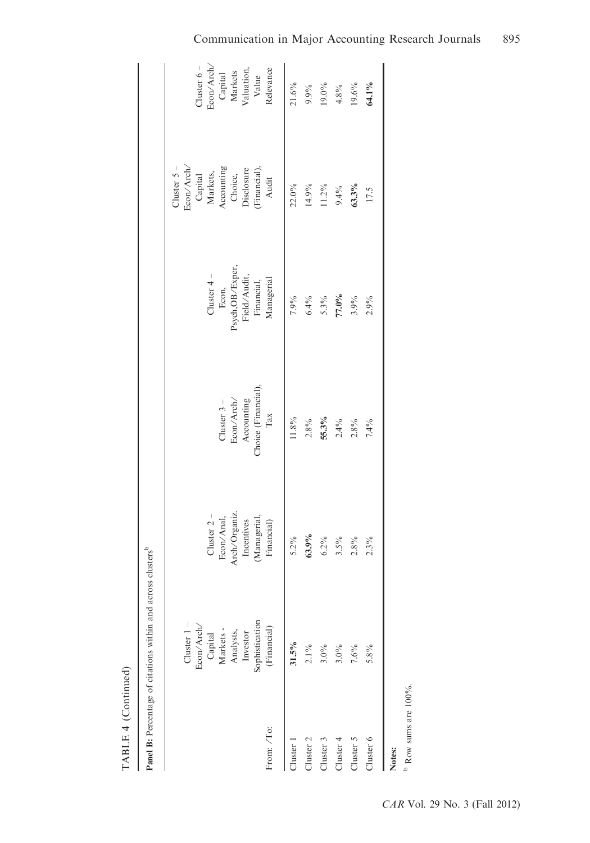| ١      |
|--------|
|        |
|        |
| 4      |
| Ļ<br>т |
|        |
|        |
|        |
|        |

Panel B: Percentage of citations within and across clusters<sup>b</sup> Panel B: Percentage of citations within and across clusters<sup>b</sup>

|                      |                       |               |                                              |                                  | $2$ luster $5 -$                             |                                  |
|----------------------|-----------------------|---------------|----------------------------------------------|----------------------------------|----------------------------------------------|----------------------------------|
|                      | $7$ luster $1 -$      |               |                                              |                                  | 3con/Arch/                                   |                                  |
|                      | 3con/Arch/            |               |                                              |                                  |                                              | $\Box$ luster 6 -                |
|                      | Capital               | Cluster $2 -$ |                                              | Cluster $4 -$                    | Capital<br>Markets,<br>Accounting<br>Choice, | 3con/Arch/                       |
|                      | Markets -             | Econ/Anal,    | Cluster $3 -$                                | Econ,                            |                                              |                                  |
|                      | Analysts,<br>Investor | Arch/Organiz  |                                              |                                  |                                              | Capital<br>Markets<br>Valuation, |
|                      |                       | Incentives    | $\frac{\text{Econ/Arch}}{\text{Accounting}}$ | Psych, OB/Exper,<br>Field/Audit, | Disclosure                                   |                                  |
|                      | Sophistication        | (Managerial,  | Choice (Financial),                          | Financial,                       | (Financial),                                 | Value                            |
| From: /To:           | (Financial)           | Financial)    | $\operatorname{Tax}$                         | Managerial                       | Audit                                        | Relevance                        |
| Cluster 1            | 31.5%                 | $5.2\%$       | $11.8\,\%$                                   | 7.9%                             | $22.0\%$                                     | 21.6%                            |
| Cluster <sub>2</sub> | $2.1\%$               | 63.9%         | 2.8%                                         | 6.4%                             | $14.9\%$                                     | $9.9\%$                          |
| Cluster 3            | $3.0\%$               | $6.2\%$       | 55.3%                                        | $5.3\%$                          | $11.2\%$                                     | $19.0\%$                         |
| Cluster 4            | $3.0\%$               | $3.5\%$       | $2.4\%$                                      | 77.0%                            | $9.4\%$                                      | $4.8\%$                          |
| Cluster 5            | 7.6%                  | 2.8%          | $2.8\%$                                      | 3.9%                             | $63.3\%$                                     | 19.6%                            |
| Cluster 6            | 5.8%                  | $2.3\%$       | 7.4%                                         | 2.9%                             | 17.5                                         | 64.1%                            |
| Notes:               |                       |               |                                              |                                  |                                              |                                  |

 $^{\rm b}$  Row sums are 100%.  $R$ ow sums are  $100\%$ .

CAR Vol. 29 No. 3 (Fall 2012)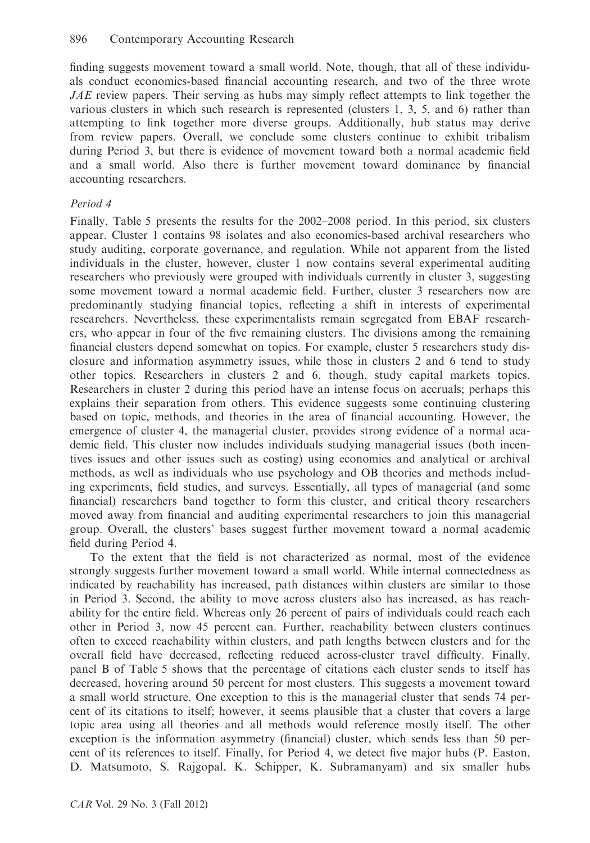finding suggests movement toward a small world. Note, though, that all of these individuals conduct economics-based financial accounting research, and two of the three wrote JAE review papers. Their serving as hubs may simply reflect attempts to link together the various clusters in which such research is represented (clusters 1, 3, 5, and 6) rather than attempting to link together more diverse groups. Additionally, hub status may derive from review papers. Overall, we conclude some clusters continue to exhibit tribalism during Period 3, but there is evidence of movement toward both a normal academic field and a small world. Also there is further movement toward dominance by financial accounting researchers.

## Period 4

Finally, Table 5 presents the results for the 2002–2008 period. In this period, six clusters appear. Cluster 1 contains 98 isolates and also economics-based archival researchers who study auditing, corporate governance, and regulation. While not apparent from the listed individuals in the cluster, however, cluster 1 now contains several experimental auditing researchers who previously were grouped with individuals currently in cluster 3, suggesting some movement toward a normal academic field. Further, cluster 3 researchers now are predominantly studying financial topics, reflecting a shift in interests of experimental researchers. Nevertheless, these experimentalists remain segregated from EBAF researchers, who appear in four of the five remaining clusters. The divisions among the remaining financial clusters depend somewhat on topics. For example, cluster 5 researchers study disclosure and information asymmetry issues, while those in clusters 2 and 6 tend to study other topics. Researchers in clusters 2 and 6, though, study capital markets topics. Researchers in cluster 2 during this period have an intense focus on accruals; perhaps this explains their separation from others. This evidence suggests some continuing clustering based on topic, methods, and theories in the area of financial accounting. However, the emergence of cluster 4, the managerial cluster, provides strong evidence of a normal academic field. This cluster now includes individuals studying managerial issues (both incentives issues and other issues such as costing) using economics and analytical or archival methods, as well as individuals who use psychology and OB theories and methods including experiments, field studies, and surveys. Essentially, all types of managerial (and some financial) researchers band together to form this cluster, and critical theory researchers moved away from financial and auditing experimental researchers to join this managerial group. Overall, the clusters' bases suggest further movement toward a normal academic field during Period 4.

To the extent that the field is not characterized as normal, most of the evidence strongly suggests further movement toward a small world. While internal connectedness as indicated by reachability has increased, path distances within clusters are similar to those in Period 3. Second, the ability to move across clusters also has increased, as has reachability for the entire field. Whereas only 26 percent of pairs of individuals could reach each other in Period 3, now 45 percent can. Further, reachability between clusters continues often to exceed reachability within clusters, and path lengths between clusters and for the overall field have decreased, reflecting reduced across-cluster travel difficulty. Finally, panel B of Table 5 shows that the percentage of citations each cluster sends to itself has decreased, hovering around 50 percent for most clusters. This suggests a movement toward a small world structure. One exception to this is the managerial cluster that sends 74 percent of its citations to itself; however, it seems plausible that a cluster that covers a large topic area using all theories and all methods would reference mostly itself. The other exception is the information asymmetry (financial) cluster, which sends less than 50 percent of its references to itself. Finally, for Period 4, we detect five major hubs (P. Easton, D. Matsumoto, S. Rajgopal, K. Schipper, K. Subramanyam) and six smaller hubs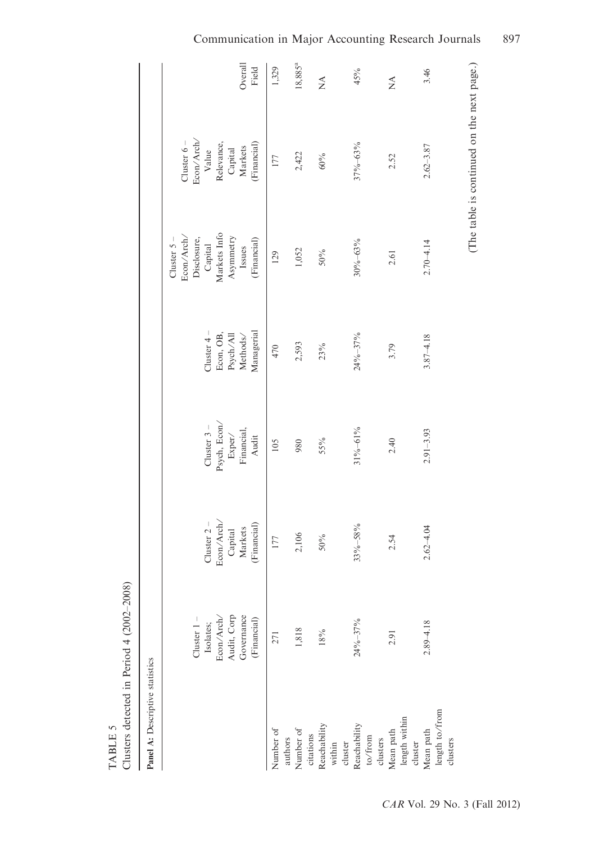| Panel A: Descriptive statistics       |                                                                                      |                                                                  |                                                                        |                                                                   |                                                                                                             |                                                                                         |                                            |
|---------------------------------------|--------------------------------------------------------------------------------------|------------------------------------------------------------------|------------------------------------------------------------------------|-------------------------------------------------------------------|-------------------------------------------------------------------------------------------------------------|-----------------------------------------------------------------------------------------|--------------------------------------------|
|                                       | Audit, Corp<br>Governance<br>Isolates;<br>Econ/Arch/<br>(Financial)<br>$Cluster 1 -$ | Econ/Arch/<br>Cluster $2 -$<br>(Financial)<br>Markets<br>Capital | Psych, Econ/<br>Cluster $3 -$<br>Financial,<br>${\rm Exper}/$<br>Audit | Managerial<br>Cluster $4 -$<br>Econ, OB,<br>Psych/All<br>Methods/ | Markets Info<br>Econ/Arch/<br>Asymmetry<br>Disclosure,<br>Cluster $5 -$<br>(Financial)<br>Capital<br>Issues | Cluster $6 -$<br>Econ/Arch/<br>Relevance,<br>(Financial)<br>Markets<br>Capital<br>Value | Overall<br>Field                           |
| Number of                             | 271                                                                                  | 177                                                              | 105                                                                    | 470                                                               | 129                                                                                                         | 177                                                                                     | 1,329                                      |
| Number of<br>citations<br>authors     | 1,818                                                                                | 2,106                                                            | 980                                                                    | 2,593                                                             | 1,052                                                                                                       | 2,422                                                                                   | $18,885^{a}$                               |
| ${\bf Reachability}$ within           | $18\%$                                                                               | 50%                                                              | 55%                                                                    | 23%                                                               | $20\%$                                                                                                      | $60\%$                                                                                  | $\mathop{\simeq}_{\mathbf{Z}}$             |
| cluster<br>Reachability               |                                                                                      |                                                                  |                                                                        |                                                                   |                                                                                                             |                                                                                         |                                            |
| $to/from$                             | 24%-37%                                                                              | $33\% - 58\%$                                                    | $31\% - 61\%$                                                          | 24%-37%                                                           | $30\% - 63\%$                                                                                               | $37\% - 63\%$                                                                           | 45%                                        |
| clusters                              |                                                                                      |                                                                  |                                                                        |                                                                   |                                                                                                             |                                                                                         |                                            |
| length within<br>cluster<br>Mean path | 2.91                                                                                 | 2.54                                                             | 2.40                                                                   | 3.79                                                              | 2.61                                                                                                        | 2.52                                                                                    | $\mathop{\leq}\limits_{{\mathop{\bf{Z}}}}$ |
| length to/from<br>Mean path           | $2.89 - 4.18$                                                                        | $2.62 - 4.04$                                                    | $2.91 - 3.93$                                                          | $3.87 - 4.18$                                                     | $2.70 - 4.14$                                                                                               | $2.62 - 3.87$                                                                           | 3.46                                       |
| clusters                              |                                                                                      |                                                                  |                                                                        |                                                                   |                                                                                                             |                                                                                         |                                            |
|                                       |                                                                                      |                                                                  |                                                                        |                                                                   |                                                                                                             | (The table is continued on the next page.)                                              |                                            |

Clusters detected in Period 4 (2002-2008) Clusters detected in Period 4 (2002–2008) TABLE 5 TABLE 5

CAR Vol. 29 No. 3 (Fall 2012)

## Communication in Major Accounting Research Journals 897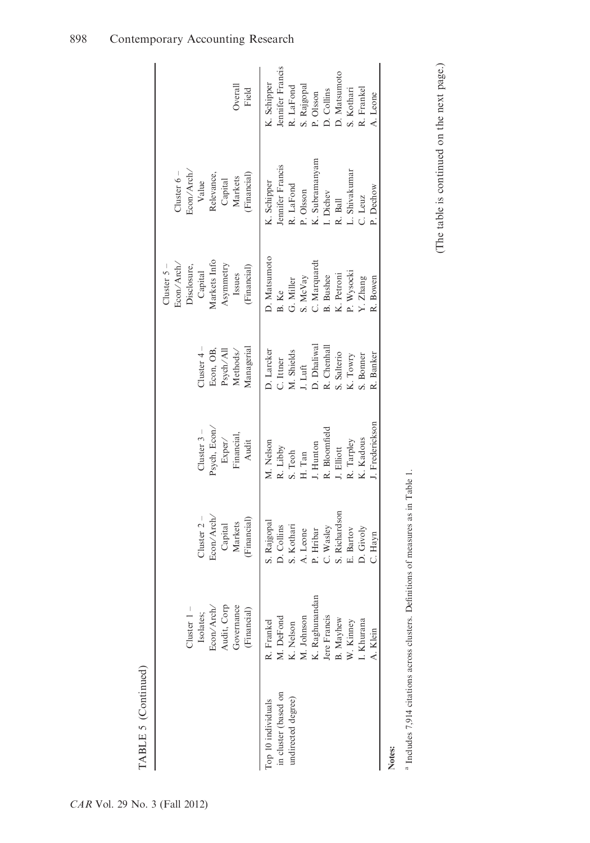| C. Schipper<br>R. LaFond<br>P. Olsson<br>O. Matsumoto<br>). Larcker<br>C. Ittner<br>M. Shields<br>I. Luft<br>R. Libby<br>S. Teoh<br>H. Tan<br>H. Tan<br>J. Hunton<br>R. Bloomfield<br>M. Nelson<br>J. Elliott<br>S. Richardson<br>S. Rajgopal<br>D. Collins<br>S. Kothari<br>A. Leone<br>P. Hribar<br>C. Wasley<br>K. Raghunandan<br>K. Nelson<br>M. Johnson<br>Iere Francis<br>M. DeFond<br>B. Mayhew<br>R. Frankel<br>in cluster (based on<br>undirected degree)<br>op 10 individuals | Audit, Corp<br>Econ/Arch/<br>Governance<br>$Cluster 1 -$<br>(Financial)<br>Isolates; | 3con/Arch<br>$2 -$<br>Financial)<br>Markets<br>Capital | sych, Econ.<br>$2$ luster $3 -$<br>${\rm Exper}/$ Financial,<br>Audit | Managerial<br>$2$ luster 4 –<br>Econ, OB,<br>Psych/All<br>$\ensuremath{\mathbf{Methods}}\xspace$ | Capital<br>Markets Info<br>3con/Arch/<br>Asymmetry<br>Disclosure,<br>Financial)<br>Issues | con/Arch<br>$\frac{1}{2}$ luster 6 –<br>Relevance,<br>Financial)<br>Markets<br>Capital<br>Value | Overall<br>Field                                                                                                                               |
|-----------------------------------------------------------------------------------------------------------------------------------------------------------------------------------------------------------------------------------------------------------------------------------------------------------------------------------------------------------------------------------------------------------------------------------------------------------------------------------------|--------------------------------------------------------------------------------------|--------------------------------------------------------|-----------------------------------------------------------------------|--------------------------------------------------------------------------------------------------|-------------------------------------------------------------------------------------------|-------------------------------------------------------------------------------------------------|------------------------------------------------------------------------------------------------------------------------------------------------|
| Dechow<br>C. Leuz<br>$Y.$ Zhang<br>R. Bowen<br>R. Banker<br>. Fredericksor<br>D. Givoly<br>C. Hayn<br>. Khurana<br>A. Klein                                                                                                                                                                                                                                                                                                                                                             | W. Kinney                                                                            | E. Bartov                                              | R. Tarpley<br>K. Kadous                                               | D. Dhaliwal<br>R. Chenhall<br>S. Salterio<br>K. Towry<br>S. Bonner                               | B. Ke<br>G. Miller<br>S. McVay<br>C. Marquardt<br>B. Bushee<br>K. Petroni                 | K. Subramanyam<br>I. Dichev<br>Iennifer Francis<br>R. Ball<br>L. Shivakumar                     | Jennifer Francis<br>D. Matsumoto<br>S. Kothari<br>K. Schipper<br>R. LaFond<br>S. Rajgopal<br>R. Frankel<br>P. Olsson<br>D. Collins<br>A. Leone |

<sup>a</sup> Includes 7,914 citations across clusters. Definitions of measures as in Table 1. Includes 7,914 citations across clusters. Definitions of measures as in Table 1.

(The table is continued on the next page.) (The table is continued on the next page.)

TABLE 5 (Continued)

TABLE 5 (Continued)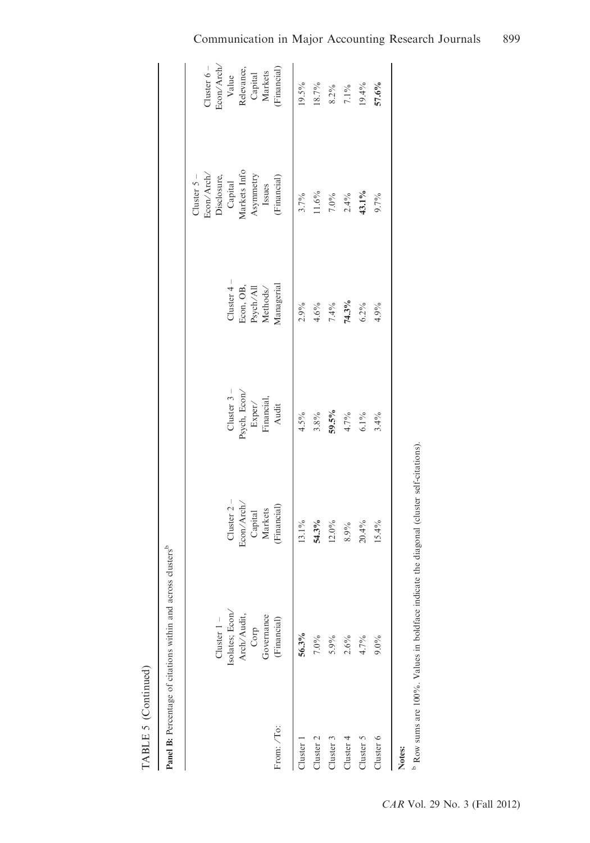| F |
|---|
|   |
|   |

Panel B: Percentage of citations within and across clusters<sup>b</sup> Panel B: Percentage of citations within and across clusters<sup>b</sup>

|            |                                                                                           |                    |                           |                  | $Cluster 5 -$    |                    |
|------------|-------------------------------------------------------------------------------------------|--------------------|---------------------------|------------------|------------------|--------------------|
|            |                                                                                           |                    |                           |                  | 3con/Arch/       | $2$ luster $6 -$   |
|            | $Cluster 1 -$                                                                             |                    |                           |                  | Disclosure,      | Econ/Arch/         |
|            | Isolates; Econ/                                                                           | Cluster $2 -$      | Cluster $3 -$             | Cluster $4 -$    | Capital          | Value              |
|            | Arch/Audit,                                                                               | Econ/Arch/         | Psych, Econ               | Econ, OB,        | Markets Info     | Relevance,         |
|            | $\mbox{Conf}$                                                                             | Capital<br>Markets |                           | Psych/All        | Asymmetry        | Capital<br>Markets |
|            | Governance                                                                                |                    | ${\rm Exper}/$ Financial, | ${\rm Methods}/$ | Issues           |                    |
| From: /To: | (Financial)                                                                               | (Financial)        | Audit                     | Managerial       | (Financial)      | Financial)         |
| Cluster    | 56.3%                                                                                     | 13.1%              | $4.5\%$                   | 2.9%             | 3.7%             | 19.5%              |
| Cluster 2  | $7.0\%$                                                                                   | 54.3%              | 3.8%                      | $4.6\%$          | $11.6\%$         | $18.7\%$           |
| Cluster 3  | $5.9\%$                                                                                   | $12.0\%$           | 59.5%                     | 7.4%             | $7.0\%$          | $8.2\%$            |
| Cluster 4  | $2.6\%$                                                                                   | 8.9%               | $4.7\%$                   | 74.3%            |                  | $7.1\%$            |
| Cluster 5  | $4.7\%$                                                                                   | 20.4%              | $6.1\%$                   | $6.2\%$          | $2.4\%$<br>43.1% | 19.4%              |
| Cluster 6  | $9.0\%$                                                                                   | 15.4%              | 3.4%                      | 4.9%             | 9.7%             | 57.6%              |
| Notes:     |                                                                                           |                    |                           |                  |                  |                    |
|            | $P$ Row sums are 100%. Values in boldface indicate the diagonal (cluster self-citations). |                    |                           |                  |                  |                    |

CAR Vol. 29 No. 3 (Fall 2012)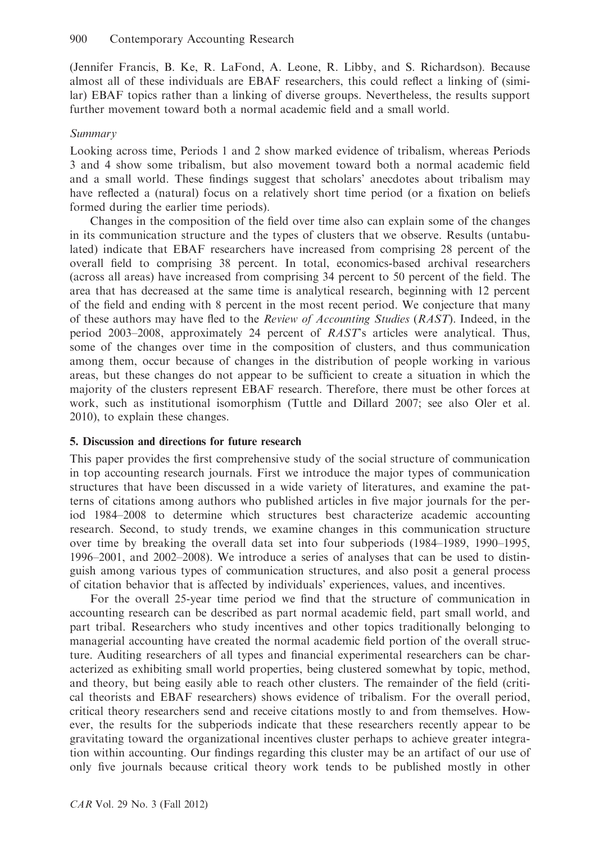(Jennifer Francis, B. Ke, R. LaFond, A. Leone, R. Libby, and S. Richardson). Because almost all of these individuals are EBAF researchers, this could reflect a linking of (similar) EBAF topics rather than a linking of diverse groups. Nevertheless, the results support further movement toward both a normal academic field and a small world.

#### Summary

Looking across time, Periods 1 and 2 show marked evidence of tribalism, whereas Periods 3 and 4 show some tribalism, but also movement toward both a normal academic field and a small world. These findings suggest that scholars' anecdotes about tribalism may have reflected a (natural) focus on a relatively short time period (or a fixation on beliefs formed during the earlier time periods).

Changes in the composition of the field over time also can explain some of the changes in its communication structure and the types of clusters that we observe. Results (untabulated) indicate that EBAF researchers have increased from comprising 28 percent of the overall field to comprising 38 percent. In total, economics-based archival researchers (across all areas) have increased from comprising 34 percent to 50 percent of the field. The area that has decreased at the same time is analytical research, beginning with 12 percent of the field and ending with 8 percent in the most recent period. We conjecture that many of these authors may have fled to the Review of Accounting Studies (RAST). Indeed, in the period 2003–2008, approximately 24 percent of RAST's articles were analytical. Thus, some of the changes over time in the composition of clusters, and thus communication among them, occur because of changes in the distribution of people working in various areas, but these changes do not appear to be sufficient to create a situation in which the majority of the clusters represent EBAF research. Therefore, there must be other forces at work, such as institutional isomorphism (Tuttle and Dillard 2007; see also Oler et al. 2010), to explain these changes.

## 5. Discussion and directions for future research

This paper provides the first comprehensive study of the social structure of communication in top accounting research journals. First we introduce the major types of communication structures that have been discussed in a wide variety of literatures, and examine the patterns of citations among authors who published articles in five major journals for the period 1984–2008 to determine which structures best characterize academic accounting research. Second, to study trends, we examine changes in this communication structure over time by breaking the overall data set into four subperiods (1984–1989, 1990–1995, 1996–2001, and 2002–2008). We introduce a series of analyses that can be used to distinguish among various types of communication structures, and also posit a general process of citation behavior that is affected by individuals' experiences, values, and incentives.

For the overall 25-year time period we find that the structure of communication in accounting research can be described as part normal academic field, part small world, and part tribal. Researchers who study incentives and other topics traditionally belonging to managerial accounting have created the normal academic field portion of the overall structure. Auditing researchers of all types and financial experimental researchers can be characterized as exhibiting small world properties, being clustered somewhat by topic, method, and theory, but being easily able to reach other clusters. The remainder of the field (critical theorists and EBAF researchers) shows evidence of tribalism. For the overall period, critical theory researchers send and receive citations mostly to and from themselves. However, the results for the subperiods indicate that these researchers recently appear to be gravitating toward the organizational incentives cluster perhaps to achieve greater integration within accounting. Our findings regarding this cluster may be an artifact of our use of only five journals because critical theory work tends to be published mostly in other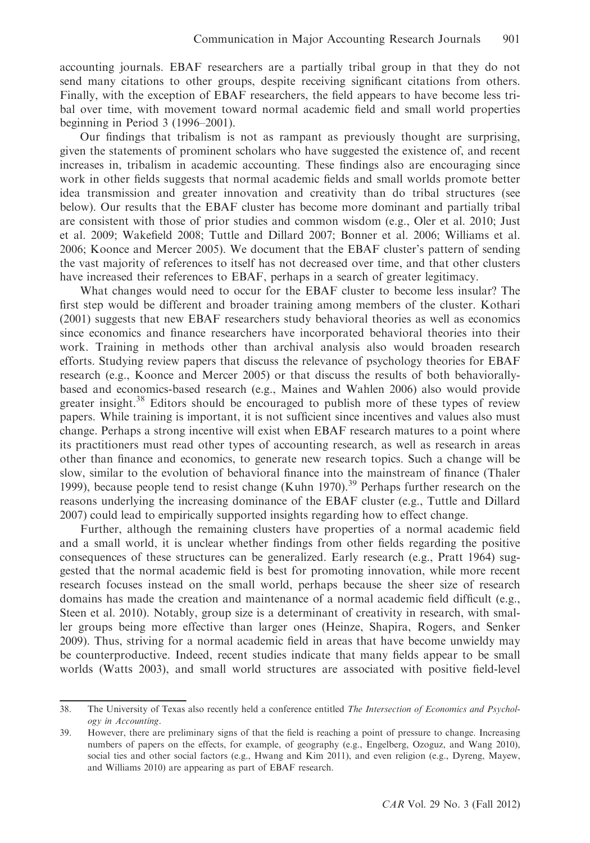accounting journals. EBAF researchers are a partially tribal group in that they do not send many citations to other groups, despite receiving significant citations from others. Finally, with the exception of EBAF researchers, the field appears to have become less tribal over time, with movement toward normal academic field and small world properties beginning in Period 3 (1996–2001).

Our findings that tribalism is not as rampant as previously thought are surprising, given the statements of prominent scholars who have suggested the existence of, and recent increases in, tribalism in academic accounting. These findings also are encouraging since work in other fields suggests that normal academic fields and small worlds promote better idea transmission and greater innovation and creativity than do tribal structures (see below). Our results that the EBAF cluster has become more dominant and partially tribal are consistent with those of prior studies and common wisdom (e.g., Oler et al. 2010; Just et al. 2009; Wakefield 2008; Tuttle and Dillard 2007; Bonner et al. 2006; Williams et al. 2006; Koonce and Mercer 2005). We document that the EBAF cluster's pattern of sending the vast majority of references to itself has not decreased over time, and that other clusters have increased their references to EBAF, perhaps in a search of greater legitimacy.

What changes would need to occur for the EBAF cluster to become less insular? The first step would be different and broader training among members of the cluster. Kothari (2001) suggests that new EBAF researchers study behavioral theories as well as economics since economics and finance researchers have incorporated behavioral theories into their work. Training in methods other than archival analysis also would broaden research efforts. Studying review papers that discuss the relevance of psychology theories for EBAF research (e.g., Koonce and Mercer 2005) or that discuss the results of both behaviorallybased and economics-based research (e.g., Maines and Wahlen 2006) also would provide greater insight.<sup>38</sup> Editors should be encouraged to publish more of these types of review papers. While training is important, it is not sufficient since incentives and values also must change. Perhaps a strong incentive will exist when EBAF research matures to a point where its practitioners must read other types of accounting research, as well as research in areas other than finance and economics, to generate new research topics. Such a change will be slow, similar to the evolution of behavioral finance into the mainstream of finance (Thaler 1999), because people tend to resist change (Kuhn 1970).<sup>39</sup> Perhaps further research on the reasons underlying the increasing dominance of the EBAF cluster (e.g., Tuttle and Dillard 2007) could lead to empirically supported insights regarding how to effect change.

Further, although the remaining clusters have properties of a normal academic field and a small world, it is unclear whether findings from other fields regarding the positive consequences of these structures can be generalized. Early research (e.g., Pratt 1964) suggested that the normal academic field is best for promoting innovation, while more recent research focuses instead on the small world, perhaps because the sheer size of research domains has made the creation and maintenance of a normal academic field difficult (e.g., Steen et al. 2010). Notably, group size is a determinant of creativity in research, with smaller groups being more effective than larger ones (Heinze, Shapira, Rogers, and Senker 2009). Thus, striving for a normal academic field in areas that have become unwieldy may be counterproductive. Indeed, recent studies indicate that many fields appear to be small worlds (Watts 2003), and small world structures are associated with positive field-level

<sup>38.</sup> The University of Texas also recently held a conference entitled The Intersection of Economics and Psychology in Accounting.

<sup>39.</sup> However, there are preliminary signs of that the field is reaching a point of pressure to change. Increasing numbers of papers on the effects, for example, of geography (e.g., Engelberg, Ozoguz, and Wang 2010), social ties and other social factors (e.g., Hwang and Kim 2011), and even religion (e.g., Dyreng, Mayew, and Williams 2010) are appearing as part of EBAF research.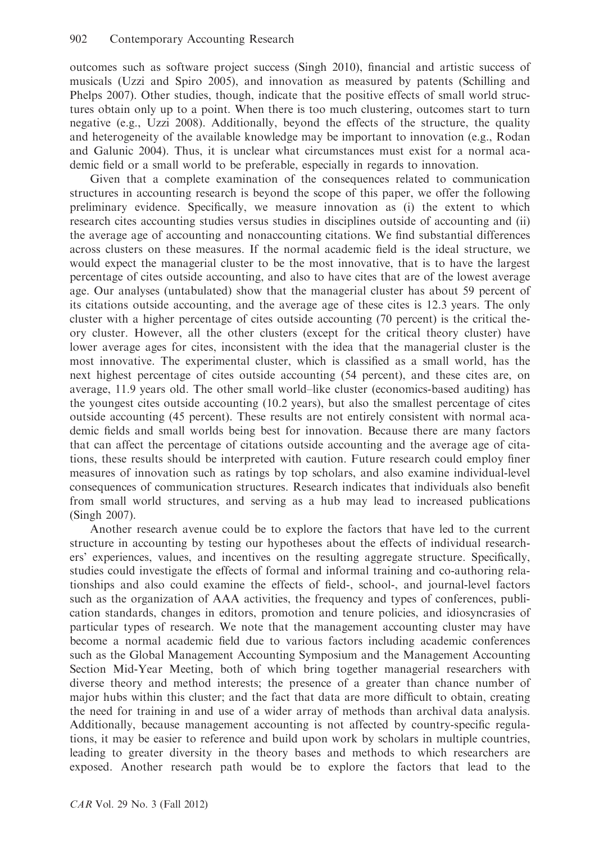outcomes such as software project success (Singh 2010), financial and artistic success of musicals (Uzzi and Spiro 2005), and innovation as measured by patents (Schilling and Phelps 2007). Other studies, though, indicate that the positive effects of small world structures obtain only up to a point. When there is too much clustering, outcomes start to turn negative (e.g., Uzzi 2008). Additionally, beyond the effects of the structure, the quality and heterogeneity of the available knowledge may be important to innovation (e.g., Rodan and Galunic 2004). Thus, it is unclear what circumstances must exist for a normal academic field or a small world to be preferable, especially in regards to innovation.

Given that a complete examination of the consequences related to communication structures in accounting research is beyond the scope of this paper, we offer the following preliminary evidence. Specifically, we measure innovation as (i) the extent to which research cites accounting studies versus studies in disciplines outside of accounting and (ii) the average age of accounting and nonaccounting citations. We find substantial differences across clusters on these measures. If the normal academic field is the ideal structure, we would expect the managerial cluster to be the most innovative, that is to have the largest percentage of cites outside accounting, and also to have cites that are of the lowest average age. Our analyses (untabulated) show that the managerial cluster has about 59 percent of its citations outside accounting, and the average age of these cites is 12.3 years. The only cluster with a higher percentage of cites outside accounting (70 percent) is the critical theory cluster. However, all the other clusters (except for the critical theory cluster) have lower average ages for cites, inconsistent with the idea that the managerial cluster is the most innovative. The experimental cluster, which is classified as a small world, has the next highest percentage of cites outside accounting (54 percent), and these cites are, on average, 11.9 years old. The other small world–like cluster (economics-based auditing) has the youngest cites outside accounting (10.2 years), but also the smallest percentage of cites outside accounting (45 percent). These results are not entirely consistent with normal academic fields and small worlds being best for innovation. Because there are many factors that can affect the percentage of citations outside accounting and the average age of citations, these results should be interpreted with caution. Future research could employ finer measures of innovation such as ratings by top scholars, and also examine individual-level consequences of communication structures. Research indicates that individuals also benefit from small world structures, and serving as a hub may lead to increased publications (Singh 2007).

Another research avenue could be to explore the factors that have led to the current structure in accounting by testing our hypotheses about the effects of individual researchers' experiences, values, and incentives on the resulting aggregate structure. Specifically, studies could investigate the effects of formal and informal training and co-authoring relationships and also could examine the effects of field-, school-, and journal-level factors such as the organization of AAA activities, the frequency and types of conferences, publication standards, changes in editors, promotion and tenure policies, and idiosyncrasies of particular types of research. We note that the management accounting cluster may have become a normal academic field due to various factors including academic conferences such as the Global Management Accounting Symposium and the Management Accounting Section Mid-Year Meeting, both of which bring together managerial researchers with diverse theory and method interests; the presence of a greater than chance number of major hubs within this cluster; and the fact that data are more difficult to obtain, creating the need for training in and use of a wider array of methods than archival data analysis. Additionally, because management accounting is not affected by country-specific regulations, it may be easier to reference and build upon work by scholars in multiple countries, leading to greater diversity in the theory bases and methods to which researchers are exposed. Another research path would be to explore the factors that lead to the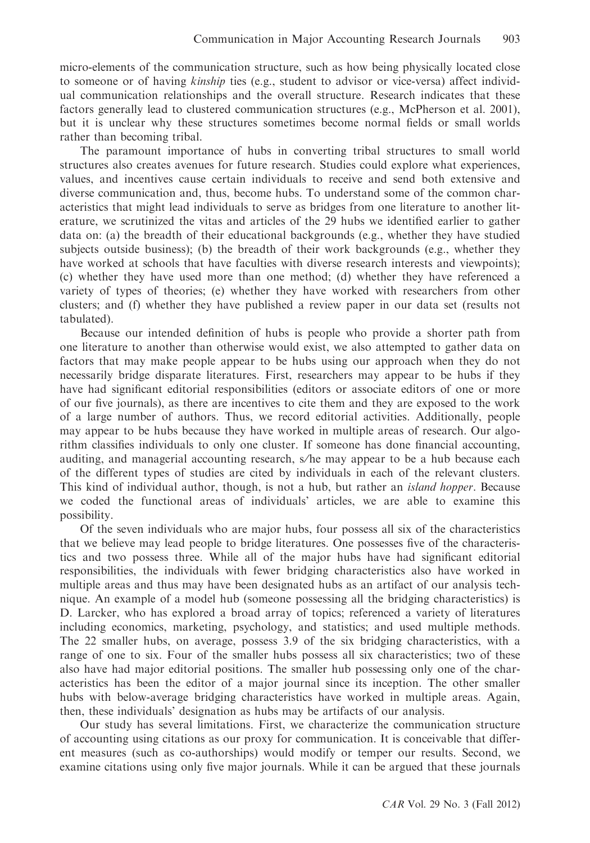micro-elements of the communication structure, such as how being physically located close to someone or of having *kinship* ties (e.g., student to advisor or vice-versa) affect individual communication relationships and the overall structure. Research indicates that these factors generally lead to clustered communication structures (e.g., McPherson et al. 2001), but it is unclear why these structures sometimes become normal fields or small worlds rather than becoming tribal.

The paramount importance of hubs in converting tribal structures to small world structures also creates avenues for future research. Studies could explore what experiences, values, and incentives cause certain individuals to receive and send both extensive and diverse communication and, thus, become hubs. To understand some of the common characteristics that might lead individuals to serve as bridges from one literature to another literature, we scrutinized the vitas and articles of the 29 hubs we identified earlier to gather data on: (a) the breadth of their educational backgrounds (e.g., whether they have studied subjects outside business); (b) the breadth of their work backgrounds (e.g., whether they have worked at schools that have faculties with diverse research interests and viewpoints); (c) whether they have used more than one method; (d) whether they have referenced a variety of types of theories; (e) whether they have worked with researchers from other clusters; and (f) whether they have published a review paper in our data set (results not tabulated).

Because our intended definition of hubs is people who provide a shorter path from one literature to another than otherwise would exist, we also attempted to gather data on factors that may make people appear to be hubs using our approach when they do not necessarily bridge disparate literatures. First, researchers may appear to be hubs if they have had significant editorial responsibilities (editors or associate editors of one or more of our five journals), as there are incentives to cite them and they are exposed to the work of a large number of authors. Thus, we record editorial activities. Additionally, people may appear to be hubs because they have worked in multiple areas of research. Our algorithm classifies individuals to only one cluster. If someone has done financial accounting, auditing, and managerial accounting research, s⁄ he may appear to be a hub because each of the different types of studies are cited by individuals in each of the relevant clusters. This kind of individual author, though, is not a hub, but rather an island hopper. Because we coded the functional areas of individuals' articles, we are able to examine this possibility.

Of the seven individuals who are major hubs, four possess all six of the characteristics that we believe may lead people to bridge literatures. One possesses five of the characteristics and two possess three. While all of the major hubs have had significant editorial responsibilities, the individuals with fewer bridging characteristics also have worked in multiple areas and thus may have been designated hubs as an artifact of our analysis technique. An example of a model hub (someone possessing all the bridging characteristics) is D. Larcker, who has explored a broad array of topics; referenced a variety of literatures including economics, marketing, psychology, and statistics; and used multiple methods. The 22 smaller hubs, on average, possess 3.9 of the six bridging characteristics, with a range of one to six. Four of the smaller hubs possess all six characteristics; two of these also have had major editorial positions. The smaller hub possessing only one of the characteristics has been the editor of a major journal since its inception. The other smaller hubs with below-average bridging characteristics have worked in multiple areas. Again, then, these individuals' designation as hubs may be artifacts of our analysis.

Our study has several limitations. First, we characterize the communication structure of accounting using citations as our proxy for communication. It is conceivable that different measures (such as co-authorships) would modify or temper our results. Second, we examine citations using only five major journals. While it can be argued that these journals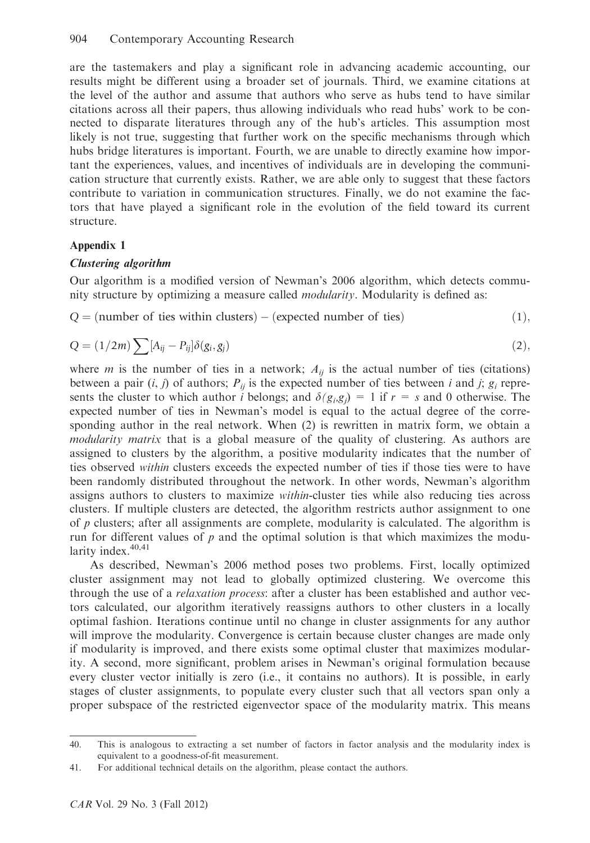are the tastemakers and play a significant role in advancing academic accounting, our results might be different using a broader set of journals. Third, we examine citations at the level of the author and assume that authors who serve as hubs tend to have similar citations across all their papers, thus allowing individuals who read hubs' work to be connected to disparate literatures through any of the hub's articles. This assumption most likely is not true, suggesting that further work on the specific mechanisms through which hubs bridge literatures is important. Fourth, we are unable to directly examine how important the experiences, values, and incentives of individuals are in developing the communication structure that currently exists. Rather, we are able only to suggest that these factors contribute to variation in communication structures. Finally, we do not examine the factors that have played a significant role in the evolution of the field toward its current structure.

## Appendix 1

## Clustering algorithm

Our algorithm is a modified version of Newman's 2006 algorithm, which detects community structure by optimizing a measure called modularity. Modularity is defined as:

 $Q =$  (number of ties within clusters) – (expected number of ties) (1),

$$
Q = (1/2m) \sum [A_{ij} - P_{ij}] \delta(g_i, g_j)
$$
\n
$$
(2),
$$

where *m* is the number of ties in a network;  $A_{ij}$  is the actual number of ties (citations) between a pair  $(i, j)$  of authors;  $P_{ij}$  is the expected number of ties between i and j;  $g_i$  represents the cluster to which author *i* belongs; and  $\delta(g_i, g_j) = 1$  if  $r = s$  and 0 otherwise. The expected number of ties in Newman's model is equal to the actual degree of the corresponding author in the real network. When (2) is rewritten in matrix form, we obtain a modularity matrix that is a global measure of the quality of clustering. As authors are assigned to clusters by the algorithm, a positive modularity indicates that the number of ties observed within clusters exceeds the expected number of ties if those ties were to have been randomly distributed throughout the network. In other words, Newman's algorithm assigns authors to clusters to maximize within-cluster ties while also reducing ties across clusters. If multiple clusters are detected, the algorithm restricts author assignment to one of  $p$  clusters; after all assignments are complete, modularity is calculated. The algorithm is run for different values of  $p$  and the optimal solution is that which maximizes the modularity index.<sup>40,41</sup>

As described, Newman's 2006 method poses two problems. First, locally optimized cluster assignment may not lead to globally optimized clustering. We overcome this through the use of a *relaxation process*: after a cluster has been established and author vectors calculated, our algorithm iteratively reassigns authors to other clusters in a locally optimal fashion. Iterations continue until no change in cluster assignments for any author will improve the modularity. Convergence is certain because cluster changes are made only if modularity is improved, and there exists some optimal cluster that maximizes modularity. A second, more significant, problem arises in Newman's original formulation because every cluster vector initially is zero (i.e., it contains no authors). It is possible, in early stages of cluster assignments, to populate every cluster such that all vectors span only a proper subspace of the restricted eigenvector space of the modularity matrix. This means

<sup>40.</sup> This is analogous to extracting a set number of factors in factor analysis and the modularity index is equivalent to a goodness-of-fit measurement.

<sup>41.</sup> For additional technical details on the algorithm, please contact the authors.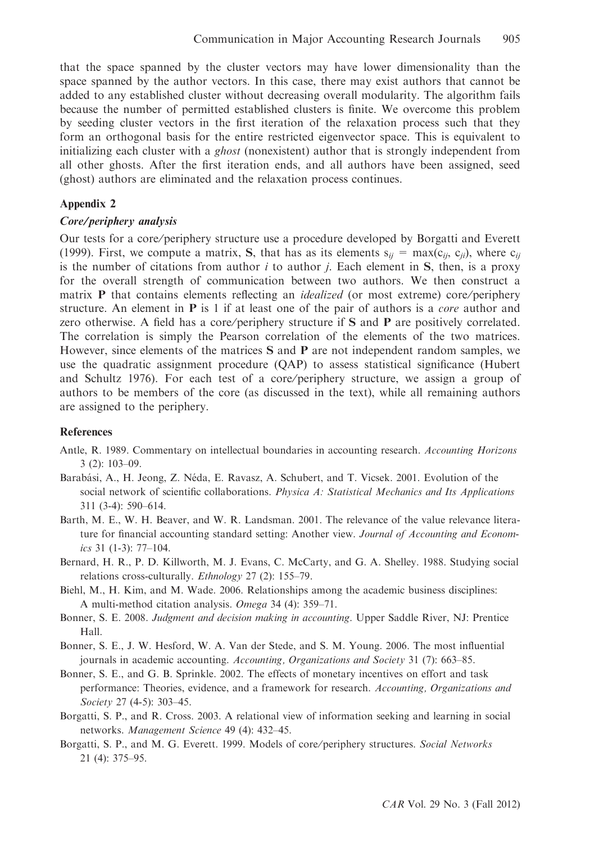that the space spanned by the cluster vectors may have lower dimensionality than the space spanned by the author vectors. In this case, there may exist authors that cannot be added to any established cluster without decreasing overall modularity. The algorithm fails because the number of permitted established clusters is finite. We overcome this problem by seeding cluster vectors in the first iteration of the relaxation process such that they form an orthogonal basis for the entire restricted eigenvector space. This is equivalent to initializing each cluster with a *ghost* (nonexistent) author that is strongly independent from all other ghosts. After the first iteration ends, and all authors have been assigned, seed (ghost) authors are eliminated and the relaxation process continues.

#### Appendix 2

#### Core ⁄ periphery analysis

Our tests for a core ⁄ periphery structure use a procedure developed by Borgatti and Everett (1999). First, we compute a matrix, S, that has as its elements  $s_{ii} = \max(c_{ii}, c_{ii})$ , where  $c_{ii}$ is the number of citations from author  $i$  to author  $j$ . Each element in  $S$ , then, is a proxy for the overall strength of communication between two authors. We then construct a matrix **P** that contains elements reflecting an *idealized* (or most extreme) core/periphery structure. An element in  $P$  is 1 if at least one of the pair of authors is a *core* author and zero otherwise. A field has a core/periphery structure if S and P are positively correlated. The correlation is simply the Pearson correlation of the elements of the two matrices. However, since elements of the matrices S and P are not independent random samples, we use the quadratic assignment procedure (QAP) to assess statistical significance (Hubert and Schultz 1976). For each test of a core ⁄ periphery structure, we assign a group of authors to be members of the core (as discussed in the text), while all remaining authors are assigned to the periphery.

#### References

- Antle, R. 1989. Commentary on intellectual boundaries in accounting research. Accounting Horizons 3 (2): 103–09.
- Barabási, A., H. Jeong, Z. Néda, E. Ravasz, A. Schubert, and T. Vicsek. 2001. Evolution of the social network of scientific collaborations. Physica A: Statistical Mechanics and Its Applications 311 (3-4): 590–614.
- Barth, M. E., W. H. Beaver, and W. R. Landsman. 2001. The relevance of the value relevance literature for financial accounting standard setting: Another view. Journal of Accounting and Economics 31 (1-3): 77–104.
- Bernard, H. R., P. D. Killworth, M. J. Evans, C. McCarty, and G. A. Shelley. 1988. Studying social relations cross-culturally. Ethnology 27 (2): 155–79.
- Biehl, M., H. Kim, and M. Wade. 2006. Relationships among the academic business disciplines: A multi-method citation analysis. Omega 34 (4): 359–71.
- Bonner, S. E. 2008. Judgment and decision making in accounting. Upper Saddle River, NJ: Prentice Hall.
- Bonner, S. E., J. W. Hesford, W. A. Van der Stede, and S. M. Young. 2006. The most influential journals in academic accounting. Accounting, Organizations and Society 31 (7): 663–85.
- Bonner, S. E., and G. B. Sprinkle. 2002. The effects of monetary incentives on effort and task performance: Theories, evidence, and a framework for research. Accounting, Organizations and Society 27 (4-5): 303-45.
- Borgatti, S. P., and R. Cross. 2003. A relational view of information seeking and learning in social networks. Management Science 49 (4): 432–45.
- Borgatti, S. P., and M. G. Everett. 1999. Models of core ⁄ periphery structures. Social Networks 21 (4): 375–95.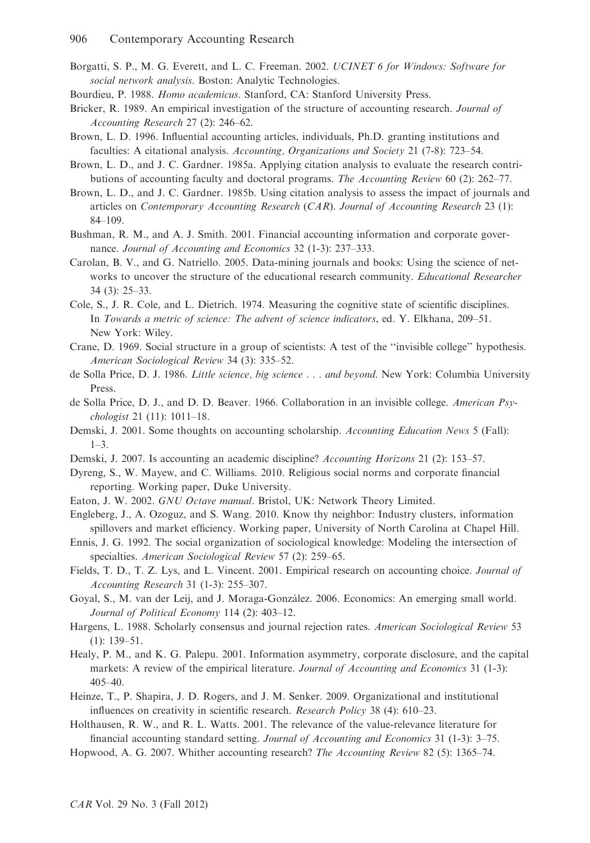- Borgatti, S. P., M. G. Everett, and L. C. Freeman. 2002. UCINET 6 for Windows: Software for social network analysis. Boston: Analytic Technologies.
- Bourdieu, P. 1988. Homo academicus. Stanford, CA: Stanford University Press.
- Bricker, R. 1989. An empirical investigation of the structure of accounting research. Journal of Accounting Research 27 (2): 246–62.
- Brown, L. D. 1996. Influential accounting articles, individuals, Ph.D. granting institutions and faculties: A citational analysis. Accounting, Organizations and Society 21 (7-8): 723–54.
- Brown, L. D., and J. C. Gardner. 1985a. Applying citation analysis to evaluate the research contributions of accounting faculty and doctoral programs. The Accounting Review 60 (2): 262–77.
- Brown, L. D., and J. C. Gardner. 1985b. Using citation analysis to assess the impact of journals and articles on Contemporary Accounting Research (CAR). Journal of Accounting Research 23 (1): 84–109.
- Bushman, R. M., and A. J. Smith. 2001. Financial accounting information and corporate governance. Journal of Accounting and Economics 32 (1-3): 237–333.
- Carolan, B. V., and G. Natriello. 2005. Data-mining journals and books: Using the science of networks to uncover the structure of the educational research community. Educational Researcher 34 (3): 25–33.
- Cole, S., J. R. Cole, and L. Dietrich. 1974. Measuring the cognitive state of scientific disciplines. In Towards a metric of science: The advent of science indicators, ed. Y. Elkhana, 209–51. New York: Wiley.
- Crane, D. 1969. Social structure in a group of scientists: A test of the ''invisible college'' hypothesis. American Sociological Review 34 (3): 335–52.
- de Solla Price, D. J. 1986. Little science, big science . . . and beyond. New York: Columbia University Press.
- de Solla Price, D. J., and D. D. Beaver. 1966. Collaboration in an invisible college. American Psychologist 21 (11): 1011–18.
- Demski, J. 2001. Some thoughts on accounting scholarship. Accounting Education News 5 (Fall):  $1-3$ .
- Demski, J. 2007. Is accounting an academic discipline? Accounting Horizons 21 (2): 153–57.
- Dyreng, S., W. Mayew, and C. Williams. 2010. Religious social norms and corporate financial reporting. Working paper, Duke University.
- Eaton, J. W. 2002. GNU Octave manual. Bristol, UK: Network Theory Limited.
- Engleberg, J., A. Ozoguz, and S. Wang. 2010. Know thy neighbor: Industry clusters, information spillovers and market efficiency. Working paper, University of North Carolina at Chapel Hill.
- Ennis, J. G. 1992. The social organization of sociological knowledge: Modeling the intersection of specialties. American Sociological Review 57 (2): 259–65.
- Fields, T. D., T. Z. Lys, and L. Vincent. 2001. Empirical research on accounting choice. Journal of Accounting Research 31 (1-3): 255–307.
- Goyal, S., M. van der Leij, and J. Moraga-González. 2006. Economics: An emerging small world. Journal of Political Economy 114 (2): 403–12.
- Hargens, L. 1988. Scholarly consensus and journal rejection rates. American Sociological Review 53 (1): 139–51.
- Healy, P. M., and K. G. Palepu. 2001. Information asymmetry, corporate disclosure, and the capital markets: A review of the empirical literature. Journal of Accounting and Economics 31 (1-3): 405–40.
- Heinze, T., P. Shapira, J. D. Rogers, and J. M. Senker. 2009. Organizational and institutional influences on creativity in scientific research. *Research Policy* 38 (4): 610–23.
- Holthausen, R. W., and R. L. Watts. 2001. The relevance of the value-relevance literature for financial accounting standard setting. Journal of Accounting and Economics 31 (1-3): 3–75.
- Hopwood, A. G. 2007. Whither accounting research? The Accounting Review 82 (5): 1365–74.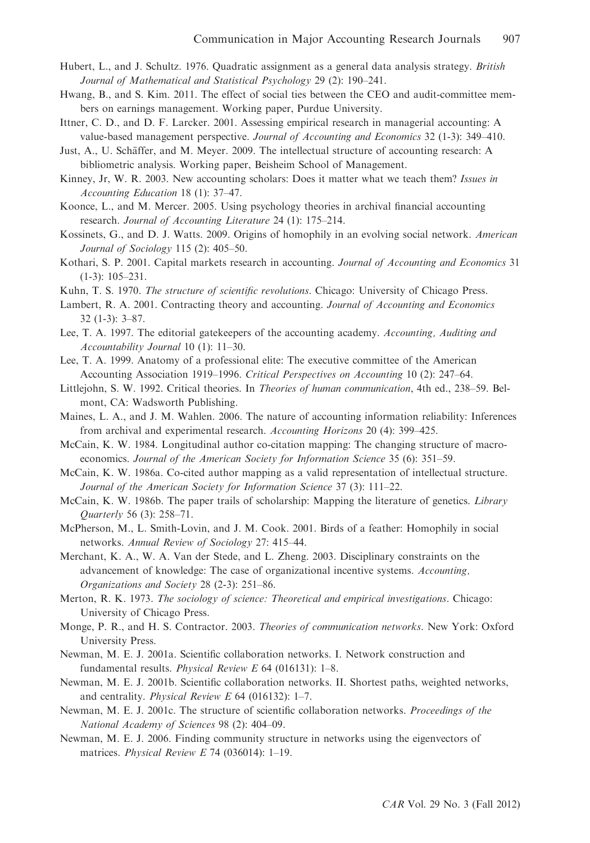- Hubert, L., and J. Schultz. 1976. Quadratic assignment as a general data analysis strategy. *British* Journal of Mathematical and Statistical Psychology 29 (2): 190–241.
- Hwang, B., and S. Kim. 2011. The effect of social ties between the CEO and audit-committee members on earnings management. Working paper, Purdue University.
- Ittner, C. D., and D. F. Larcker. 2001. Assessing empirical research in managerial accounting: A value-based management perspective. Journal of Accounting and Economics 32 (1-3): 349–410.
- Just, A., U. Schäffer, and M. Meyer. 2009. The intellectual structure of accounting research: A bibliometric analysis. Working paper, Beisheim School of Management.
- Kinney, Jr, W. R. 2003. New accounting scholars: Does it matter what we teach them? Issues in Accounting Education 18 (1): 37–47.
- Koonce, L., and M. Mercer. 2005. Using psychology theories in archival financial accounting research. Journal of Accounting Literature 24 (1): 175–214.
- Kossinets, G., and D. J. Watts. 2009. Origins of homophily in an evolving social network. American Journal of Sociology 115 (2): 405–50.
- Kothari, S. P. 2001. Capital markets research in accounting. Journal of Accounting and Economics 31 (1-3): 105–231.
- Kuhn, T. S. 1970. The structure of scientific revolutions. Chicago: University of Chicago Press.
- Lambert, R. A. 2001. Contracting theory and accounting. Journal of Accounting and Economics 32 (1-3): 3–87.
- Lee, T. A. 1997. The editorial gatekeepers of the accounting academy. Accounting, Auditing and Accountability Journal 10 (1): 11–30.
- Lee, T. A. 1999. Anatomy of a professional elite: The executive committee of the American Accounting Association 1919–1996. Critical Perspectives on Accounting 10 (2): 247–64.
- Littlejohn, S. W. 1992. Critical theories. In Theories of human communication, 4th ed., 238–59. Belmont, CA: Wadsworth Publishing.
- Maines, L. A., and J. M. Wahlen. 2006. The nature of accounting information reliability: Inferences from archival and experimental research. Accounting Horizons 20 (4): 399–425.
- McCain, K. W. 1984. Longitudinal author co-citation mapping: The changing structure of macroeconomics. Journal of the American Society for Information Science 35 (6): 351–59.
- McCain, K. W. 1986a. Co-cited author mapping as a valid representation of intellectual structure. Journal of the American Society for Information Science 37 (3): 111–22.
- McCain, K. W. 1986b. The paper trails of scholarship: Mapping the literature of genetics. Library Quarterly 56 (3): 258–71.
- McPherson, M., L. Smith-Lovin, and J. M. Cook. 2001. Birds of a feather: Homophily in social networks. Annual Review of Sociology 27: 415–44.
- Merchant, K. A., W. A. Van der Stede, and L. Zheng. 2003. Disciplinary constraints on the advancement of knowledge: The case of organizational incentive systems. Accounting, Organizations and Society 28 (2-3): 251–86.
- Merton, R. K. 1973. The sociology of science: Theoretical and empirical investigations. Chicago: University of Chicago Press.
- Monge, P. R., and H. S. Contractor. 2003. Theories of communication networks. New York: Oxford University Press.
- Newman, M. E. J. 2001a. Scientific collaboration networks. I. Network construction and fundamental results. Physical Review E 64 (016131): 1–8.
- Newman, M. E. J. 2001b. Scientific collaboration networks. II. Shortest paths, weighted networks, and centrality. Physical Review E 64 (016132): 1–7.
- Newman, M. E. J. 2001c. The structure of scientific collaboration networks. Proceedings of the National Academy of Sciences 98 (2): 404–09.
- Newman, M. E. J. 2006. Finding community structure in networks using the eigenvectors of matrices. Physical Review E 74 (036014): 1–19.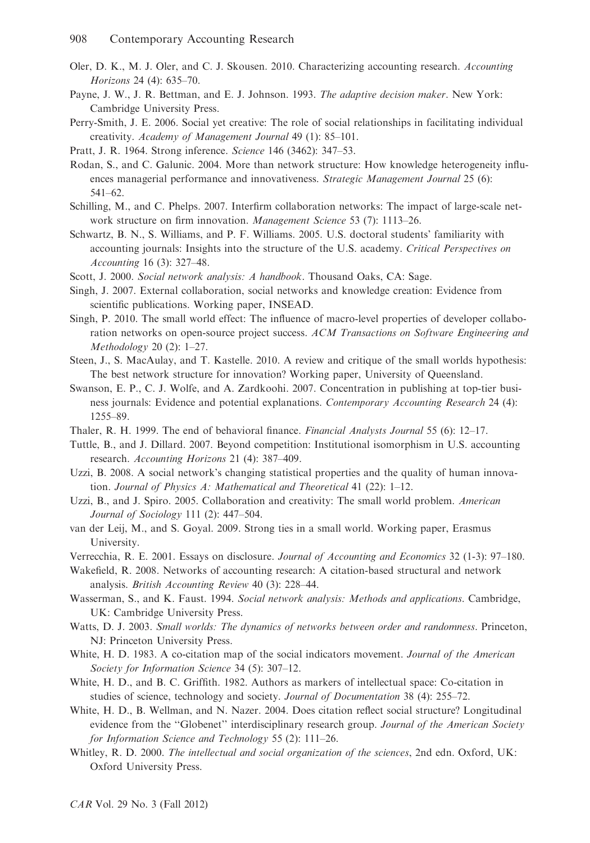- Oler, D. K., M. J. Oler, and C. J. Skousen. 2010. Characterizing accounting research. Accounting Horizons 24 (4): 635–70.
- Payne, J. W., J. R. Bettman, and E. J. Johnson. 1993. The adaptive decision maker. New York: Cambridge University Press.
- Perry-Smith, J. E. 2006. Social yet creative: The role of social relationships in facilitating individual creativity. Academy of Management Journal 49 (1): 85–101.
- Pratt, J. R. 1964. Strong inference. Science 146 (3462): 347–53.
- Rodan, S., and C. Galunic. 2004. More than network structure: How knowledge heterogeneity influences managerial performance and innovativeness. Strategic Management Journal 25 (6): 541–62.
- Schilling, M., and C. Phelps. 2007. Interfirm collaboration networks: The impact of large-scale network structure on firm innovation. Management Science 53 (7): 1113–26.
- Schwartz, B. N., S. Williams, and P. F. Williams. 2005. U.S. doctoral students' familiarity with accounting journals: Insights into the structure of the U.S. academy. Critical Perspectives on Accounting 16 (3): 327–48.
- Scott, J. 2000. Social network analysis: A handbook. Thousand Oaks, CA: Sage.
- Singh, J. 2007. External collaboration, social networks and knowledge creation: Evidence from scientific publications. Working paper, INSEAD.
- Singh, P. 2010. The small world effect: The influence of macro-level properties of developer collaboration networks on open-source project success. ACM Transactions on Software Engineering and Methodology 20 (2): 1–27.
- Steen, J., S. MacAulay, and T. Kastelle. 2010. A review and critique of the small worlds hypothesis: The best network structure for innovation? Working paper, University of Queensland.
- Swanson, E. P., C. J. Wolfe, and A. Zardkoohi. 2007. Concentration in publishing at top-tier business journals: Evidence and potential explanations. Contemporary Accounting Research 24 (4): 1255–89.
- Thaler, R. H. 1999. The end of behavioral finance. Financial Analysts Journal 55 (6): 12–17.
- Tuttle, B., and J. Dillard. 2007. Beyond competition: Institutional isomorphism in U.S. accounting research. Accounting Horizons 21 (4): 387–409.
- Uzzi, B. 2008. A social network's changing statistical properties and the quality of human innovation. Journal of Physics A: Mathematical and Theoretical 41 (22): 1–12.
- Uzzi, B., and J. Spiro. 2005. Collaboration and creativity: The small world problem. American Journal of Sociology 111 (2): 447–504.
- van der Leij, M., and S. Goyal. 2009. Strong ties in a small world. Working paper, Erasmus University.
- Verrecchia, R. E. 2001. Essays on disclosure. Journal of Accounting and Economics 32 (1-3): 97–180.
- Wakefield, R. 2008. Networks of accounting research: A citation-based structural and network analysis. British Accounting Review 40 (3): 228–44.
- Wasserman, S., and K. Faust. 1994. Social network analysis: Methods and applications. Cambridge, UK: Cambridge University Press.
- Watts, D. J. 2003. Small worlds: The dynamics of networks between order and randomness. Princeton, NJ: Princeton University Press.
- White, H. D. 1983. A co-citation map of the social indicators movement. Journal of the American Society for Information Science 34 (5): 307–12.
- White, H. D., and B. C. Griffith. 1982. Authors as markers of intellectual space: Co-citation in studies of science, technology and society. Journal of Documentation 38 (4): 255–72.
- White, H. D., B. Wellman, and N. Nazer. 2004. Does citation reflect social structure? Longitudinal evidence from the "Globenet" interdisciplinary research group. Journal of the American Society for Information Science and Technology 55 (2): 111–26.
- Whitley, R. D. 2000. The intellectual and social organization of the sciences, 2nd edn. Oxford, UK: Oxford University Press.